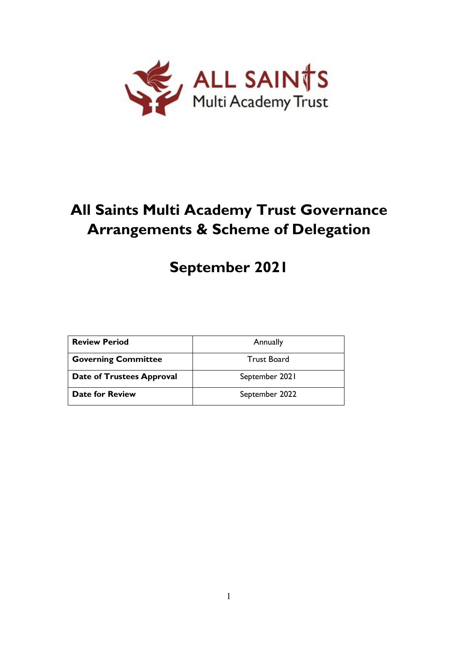

# **All Saints Multi Academy Trust Governance Arrangements & Scheme of Delegation**

# **September 2021**

| <b>Review Period</b>             | Annually       |
|----------------------------------|----------------|
| <b>Governing Committee</b>       | Trust Board    |
| <b>Date of Trustees Approval</b> | September 2021 |
| Date for Review                  | September 2022 |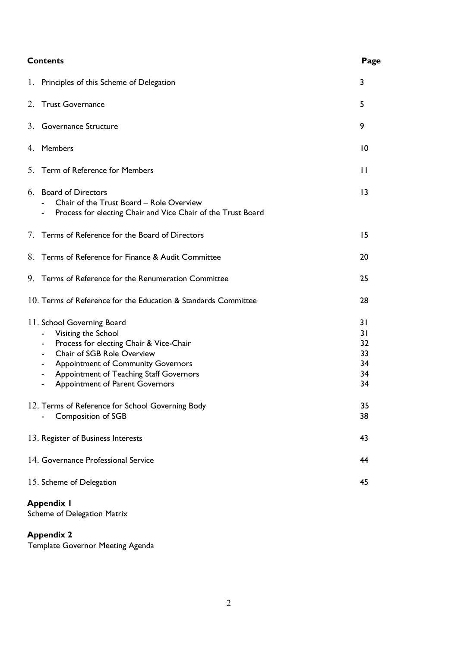| <b>Contents</b>                                                                                                                                                                                                                                            | Page                                   |
|------------------------------------------------------------------------------------------------------------------------------------------------------------------------------------------------------------------------------------------------------------|----------------------------------------|
| Principles of this Scheme of Delegation<br>1.                                                                                                                                                                                                              | 3                                      |
| 2. Trust Governance                                                                                                                                                                                                                                        | 5                                      |
| 3. Governance Structure                                                                                                                                                                                                                                    | 9                                      |
| 4. Members                                                                                                                                                                                                                                                 | $\overline{10}$                        |
| Term of Reference for Members<br>5.                                                                                                                                                                                                                        | $\mathbf{H}$                           |
| <b>Board of Directors</b><br>6.<br>Chair of the Trust Board - Role Overview<br>Process for electing Chair and Vice Chair of the Trust Board                                                                                                                | 13                                     |
| Terms of Reference for the Board of Directors<br>7.                                                                                                                                                                                                        | 15                                     |
| Terms of Reference for Finance & Audit Committee<br>8.                                                                                                                                                                                                     | 20                                     |
| 9. Terms of Reference for the Renumeration Committee                                                                                                                                                                                                       | 25                                     |
| 10. Terms of Reference for the Education & Standards Committee                                                                                                                                                                                             | 28                                     |
| 11. School Governing Board<br>Visiting the School<br>Process for electing Chair & Vice-Chair<br>Chair of SGB Role Overview<br>٠<br><b>Appointment of Community Governors</b><br>Appointment of Teaching Staff Governors<br>Appointment of Parent Governors | 31<br>31<br>32<br>33<br>34<br>34<br>34 |
| 12. Terms of Reference for School Governing Body<br><b>Composition of SGB</b>                                                                                                                                                                              | 35<br>38                               |
| 13. Register of Business Interests                                                                                                                                                                                                                         | 43                                     |
| 14. Governance Professional Service                                                                                                                                                                                                                        | 44                                     |
| 15. Scheme of Delegation                                                                                                                                                                                                                                   | 45                                     |
| <b>Appendix I</b>                                                                                                                                                                                                                                          |                                        |

Scheme of Delegation Matrix

# **Appendix 2**

Template Governor Meeting Agenda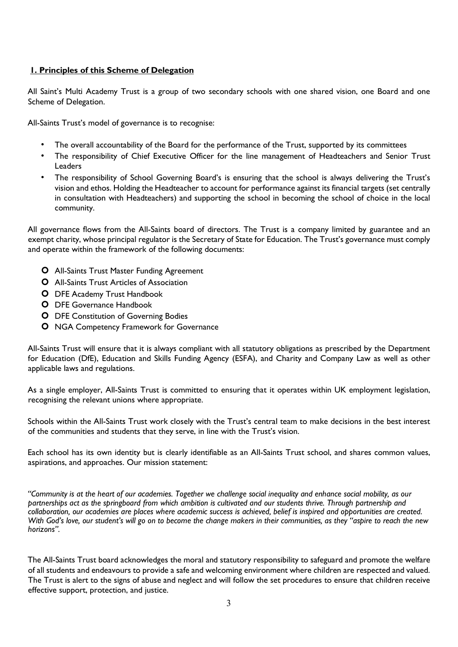# **1. Principles of this Scheme of Delegation**

All Saint's Multi Academy Trust is a group of two secondary schools with one shared vision, one Board and one Scheme of Delegation.

All-Saints Trust's model of governance is to recognise:

- The overall accountability of the Board for the performance of the Trust, supported by its committees
- The responsibility of Chief Executive Officer for the line management of Headteachers and Senior Trust Leaders
- The responsibility of School Governing Board's is ensuring that the school is always delivering the Trust's vision and ethos. Holding the Headteacher to account for performance against its financial targets (set centrally in consultation with Headteachers) and supporting the school in becoming the school of choice in the local community.

All governance flows from the All-Saints board of directors. The Trust is a company limited by guarantee and an exempt charity, whose principal regulator is the Secretary of State for Education. The Trust's governance must comply and operate within the framework of the following documents:

- All-Saints Trust Master Funding Agreement
- All-Saints Trust Articles of Association
- **O** DFE Academy Trust Handbook
- **O** DFE Governance Handbook
- **O** DFE Constitution of Governing Bodies
- **O** NGA Competency Framework for Governance

All-Saints Trust will ensure that it is always compliant with all statutory obligations as prescribed by the Department for Education (DfE), Education and Skills Funding Agency (ESFA), and Charity and Company Law as well as other applicable laws and regulations.

As a single employer, All-Saints Trust is committed to ensuring that it operates within UK employment legislation, recognising the relevant unions where appropriate.

Schools within the All-Saints Trust work closely with the Trust's central team to make decisions in the best interest of the communities and students that they serve, in line with the Trust's vision.

Each school has its own identity but is clearly identifiable as an All-Saints Trust school, and shares common values, aspirations, and approaches. Our mission statement:

*"Community is at the heart of our academies. Together we challenge social inequality and enhance social mobility, as our partnerships act as the springboard from which ambition is cultivated and our students thrive. Through partnership and collaboration, our academies are places where academic success is achieved, belief is inspired and opportunities are created. With God's love, our student's will go on to become the change makers in their communities, as they "aspire to reach the new horizons".*

The All-Saints Trust board acknowledges the moral and statutory responsibility to safeguard and promote the welfare of all students and endeavours to provide a safe and welcoming environment where children are respected and valued. The Trust is alert to the signs of abuse and neglect and will follow the set procedures to ensure that children receive effective support, protection, and justice.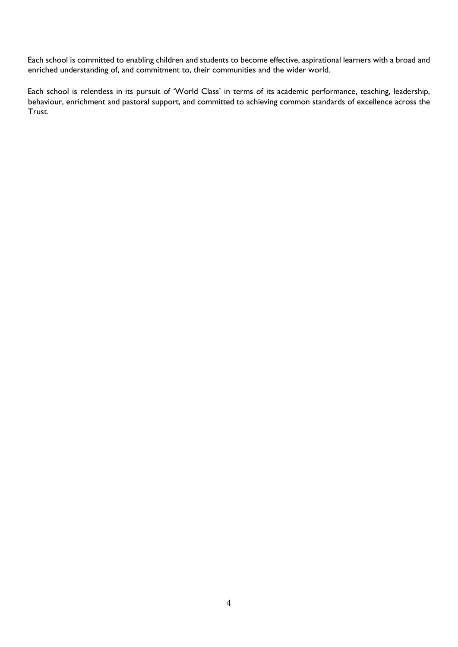Each school is committed to enabling children and students to become effective, aspirational learners with a broad and enriched understanding of, and commitment to, their communities and the wider world.

Each school is relentless in its pursuit of 'World Class' in terms of its academic performance, teaching, leadership, behaviour, enrichment and pastoral support, and committed to achieving common standards of excellence across the Trust.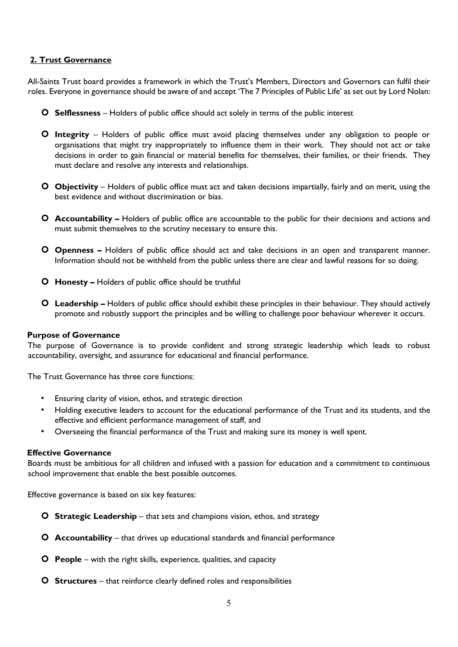# **2. Trust Governance**

All-Saints Trust board provides a framework in which the Trust's Members, Directors and Governors can fulfil their roles. Everyone in governance should be aware of and accept 'The 7 Principles of Public Life' as set out by Lord Nolan:

- **Selflessness** Holders of public office should act solely in terms of the public interest
- **Integrity** Holders of public office must avoid placing themselves under any obligation to people or organisations that might try inappropriately to influence them in their work. They should not act or take decisions in order to gain financial or material benefits for themselves, their families, or their friends. They must declare and resolve any interests and relationships.
- **Objectivity** Holders of public office must act and taken decisions impartially, fairly and on merit, using the best evidence and without discrimination or bias.
- **Accountability** Holders of public office are accountable to the public for their decisions and actions and must submit themselves to the scrutiny necessary to ensure this.
- **Openness** Holders of public office should act and take decisions in an open and transparent manner. Information should not be withheld from the public unless there are clear and lawful reasons for so doing.
- **Honesty** Holders of public office should be truthful
- **Leadership** Holders of public office should exhibit these principles in their behaviour. They should actively promote and robustly support the principles and be willing to challenge poor behaviour wherever it occurs.

#### **Purpose of Governance**

The purpose of Governance is to provide confident and strong strategic leadership which leads to robust accountability, oversight, and assurance for educational and financial performance.

The Trust Governance has three core functions:

- Ensuring clarity of vision, ethos, and strategic direction
- Holding executive leaders to account for the educational performance of the Trust and its students, and the effective and efficient performance management of staff, and
- Overseeing the financial performance of the Trust and making sure its money is well spent.

#### **Effective Governance**

Boards must be ambitious for all children and infused with a passion for education and a commitment to continuous school improvement that enable the best possible outcomes.

Effective governance is based on six key features:

- **Strategic Leadership** that sets and champions vision, ethos, and strategy
- **Accountability**  that drives up educational standards and financial performance
- **People** with the right skills, experience, qualities, and capacity
- **O** Structures that reinforce clearly defined roles and responsibilities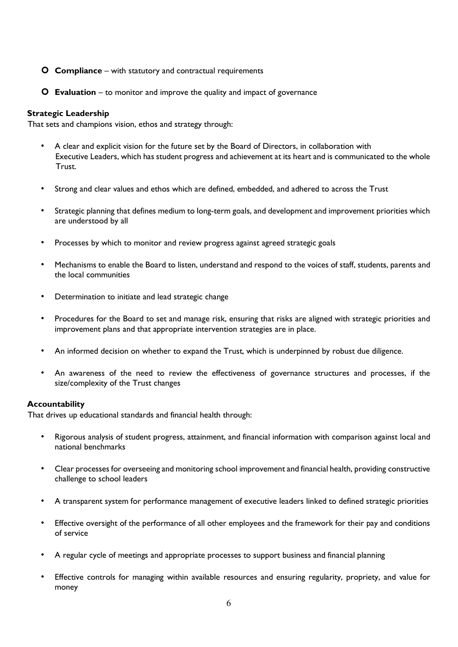- **Compliance** with statutory and contractual requirements
- **Evaluation** to monitor and improve the quality and impact of governance

#### **Strategic Leadership**

That sets and champions vision, ethos and strategy through:

- A clear and explicit vision for the future set by the Board of Directors, in collaboration with Executive Leaders, which has student progress and achievement at its heart and is communicated to the whole Trust.
- Strong and clear values and ethos which are defined, embedded, and adhered to across the Trust
- Strategic planning that defines medium to long-term goals, and development and improvement priorities which are understood by all
- Processes by which to monitor and review progress against agreed strategic goals
- Mechanisms to enable the Board to listen, understand and respond to the voices of staff, students, parents and the local communities
- Determination to initiate and lead strategic change
- Procedures for the Board to set and manage risk, ensuring that risks are aligned with strategic priorities and improvement plans and that appropriate intervention strategies are in place.
- An informed decision on whether to expand the Trust, which is underpinned by robust due diligence.
- An awareness of the need to review the effectiveness of governance structures and processes, if the size/complexity of the Trust changes

#### **Accountability**

That drives up educational standards and financial health through:

- Rigorous analysis of student progress, attainment, and financial information with comparison against local and national benchmarks
- Clear processes for overseeing and monitoring school improvement and financial health, providing constructive challenge to school leaders
- A transparent system for performance management of executive leaders linked to defined strategic priorities
- Effective oversight of the performance of all other employees and the framework for their pay and conditions of service
- A regular cycle of meetings and appropriate processes to support business and financial planning
- Effective controls for managing within available resources and ensuring regularity, propriety, and value for money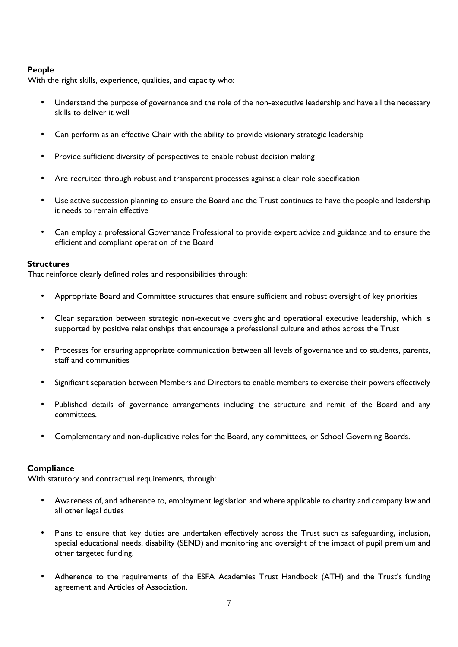## **People**

With the right skills, experience, qualities, and capacity who:

- Understand the purpose of governance and the role of the non-executive leadership and have all the necessary skills to deliver it well
- Can perform as an effective Chair with the ability to provide visionary strategic leadership
- Provide sufficient diversity of perspectives to enable robust decision making
- Are recruited through robust and transparent processes against a clear role specification
- Use active succession planning to ensure the Board and the Trust continues to have the people and leadership it needs to remain effective
- Can employ a professional Governance Professional to provide expert advice and guidance and to ensure the efficient and compliant operation of the Board

#### **Structures**

That reinforce clearly defined roles and responsibilities through:

- Appropriate Board and Committee structures that ensure sufficient and robust oversight of key priorities
- Clear separation between strategic non-executive oversight and operational executive leadership, which is supported by positive relationships that encourage a professional culture and ethos across the Trust
- Processes for ensuring appropriate communication between all levels of governance and to students, parents, staff and communities
- Significant separation between Members and Directors to enable members to exercise their powers effectively
- Published details of governance arrangements including the structure and remit of the Board and any committees.
- Complementary and non-duplicative roles for the Board, any committees, or School Governing Boards.

# **Compliance**

With statutory and contractual requirements, through:

- Awareness of, and adherence to, employment legislation and where applicable to charity and company law and all other legal duties
- Plans to ensure that key duties are undertaken effectively across the Trust such as safeguarding, inclusion, special educational needs, disability (SEND) and monitoring and oversight of the impact of pupil premium and other targeted funding.
- Adherence to the requirements of the ESFA Academies Trust Handbook (ATH) and the Trust's funding agreement and Articles of Association.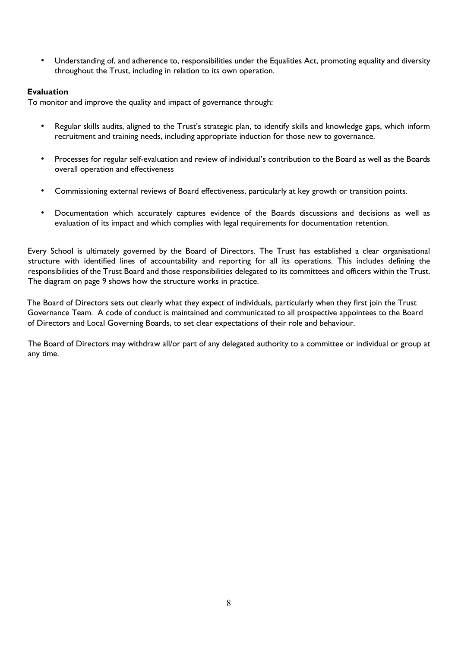• Understanding of, and adherence to, responsibilities under the Equalities Act, promoting equality and diversity throughout the Trust, including in relation to its own operation.

## **Evaluation**

To monitor and improve the quality and impact of governance through:

- Regular skills audits, aligned to the Trust's strategic plan, to identify skills and knowledge gaps, which inform recruitment and training needs, including appropriate induction for those new to governance.
- Processes for regular self-evaluation and review of individual's contribution to the Board as well as the Boards overall operation and effectiveness
- Commissioning external reviews of Board effectiveness, particularly at key growth or transition points.
- Documentation which accurately captures evidence of the Boards discussions and decisions as well as evaluation of its impact and which complies with legal requirements for documentation retention.

Every School is ultimately governed by the Board of Directors. The Trust has established a clear organisational structure with identified lines of accountability and reporting for all its operations. This includes defining the responsibilities of the Trust Board and those responsibilities delegated to its committees and officers within the Trust. The diagram on page 9 shows how the structure works in practice.

The Board of Directors sets out clearly what they expect of individuals, particularly when they first join the Trust Governance Team. A code of conduct is maintained and communicated to all prospective appointees to the Board of Directors and Local Governing Boards, to set clear expectations of their role and behaviour.

The Board of Directors may withdraw all/or part of any delegated authority to a committee or individual or group at any time.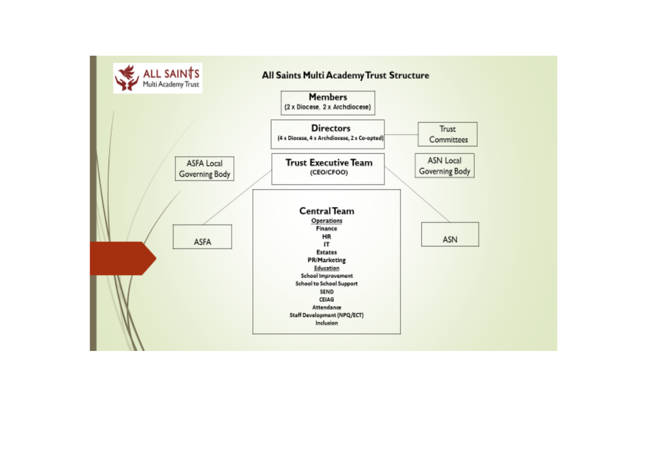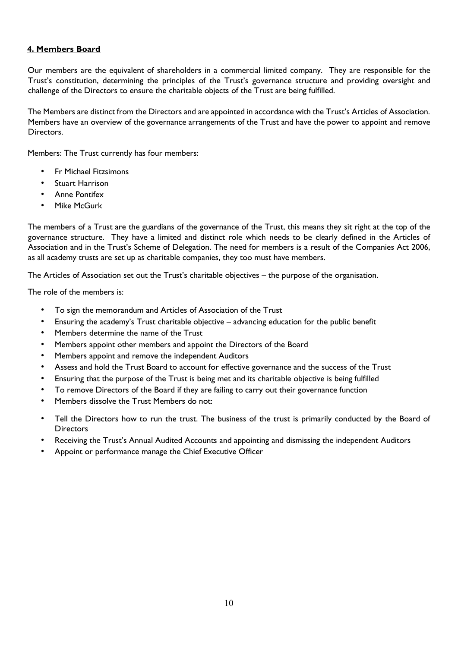# **4. Members Board**

Our members are the equivalent of shareholders in a commercial limited company. They are responsible for the Trust's constitution, determining the principles of the Trust's governance structure and providing oversight and challenge of the Directors to ensure the charitable objects of the Trust are being fulfilled.

The Members are distinct from the Directors and are appointed in accordance with the Trust's Articles of Association. Members have an overview of the governance arrangements of the Trust and have the power to appoint and remove Directors.

Members: The Trust currently has four members:

- Fr Michael Fitzsimons
- **Stuart Harrison**
- Anne Pontifex
- Mike McGurk

The members of a Trust are the guardians of the governance of the Trust, this means they sit right at the top of the governance structure. They have a limited and distinct role which needs to be clearly defined in the Articles of Association and in the Trust's Scheme of Delegation. The need for members is a result of the Companies Act 2006, as all academy trusts are set up as charitable companies, they too must have members.

The Articles of Association set out the Trust's charitable objectives – the purpose of the organisation.

The role of the members is:

- To sign the memorandum and Articles of Association of the Trust
- Ensuring the academy's Trust charitable objective advancing education for the public benefit
- Members determine the name of the Trust
- Members appoint other members and appoint the Directors of the Board
- Members appoint and remove the independent Auditors
- Assess and hold the Trust Board to account for effective governance and the success of the Trust
- Ensuring that the purpose of the Trust is being met and its charitable objective is being fulfilled
- To remove Directors of the Board if they are failing to carry out their governance function
- Members dissolve the Trust Members do not:
- Tell the Directors how to run the trust. The business of the trust is primarily conducted by the Board of **Directors**
- Receiving the Trust's Annual Audited Accounts and appointing and dismissing the independent Auditors
- Appoint or performance manage the Chief Executive Officer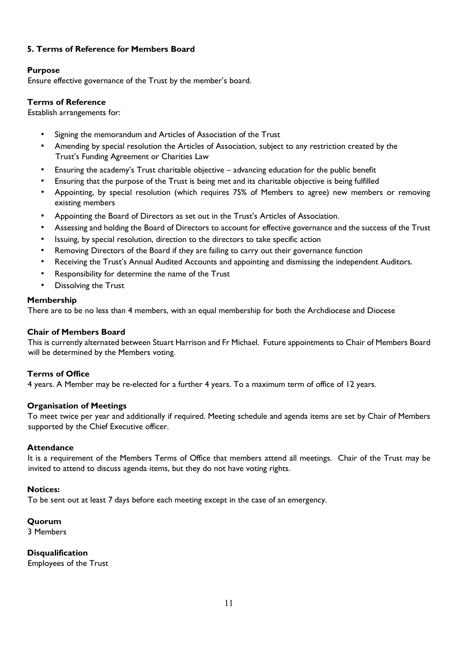# **5. Terms of Reference for Members Board**

# **Purpose**

Ensure effective governance of the Trust by the member's board.

## **Terms of Reference**

Establish arrangements for:

- Signing the memorandum and Articles of Association of the Trust
- Amending by special resolution the Articles of Association, subject to any restriction created by the Trust's Funding Agreement or Charities Law
- Ensuring the academy's Trust charitable objective advancing education for the public benefit
- Ensuring that the purpose of the Trust is being met and its charitable objective is being fulfilled
- Appointing, by special resolution (which requires 75% of Members to agree) new members or removing existing members
- Appointing the Board of Directors as set out in the Trust's Articles of Association.
- Assessing and holding the Board of Directors to account for effective governance and the success of the Trust
- Issuing, by special resolution, direction to the directors to take specific action
- Removing Directors of the Board if they are failing to carry out their governance function
- Receiving the Trust's Annual Audited Accounts and appointing and dismissing the independent Auditors.
- Responsibility for determine the name of the Trust
- Dissolving the Trust

## **Membership**

There are to be no less than 4 members, with an equal membership for both the Archdiocese and Diocese

#### **Chair of Members Board**

This is currently alternated between Stuart Harrison and Fr Michael. Future appointments to Chair of Members Board will be determined by the Members voting.

# **Terms of Office**

4 years. A Member may be re-elected for a further 4 years. To a maximum term of office of 12 years.

#### **Organisation of Meetings**

To meet twice per year and additionally if required. Meeting schedule and agenda items are set by Chair of Members supported by the Chief Executive officer.

#### **Attendance**

It is a requirement of the Members Terms of Office that members attend all meetings. Chair of the Trust may be invited to attend to discuss agenda items, but they do not have voting rights.

#### **Notices:**

To be sent out at least 7 days before each meeting except in the case of an emergency.

#### **Quorum**

3 Members

**Disqualification** 

Employees of the Trust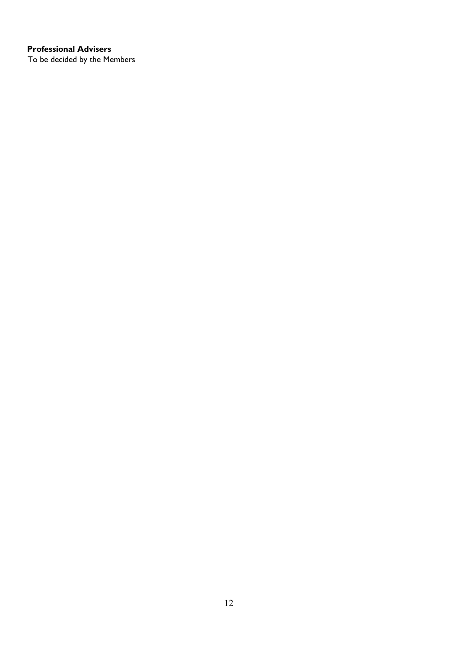# **Professional Advisers**

To be decided by the Members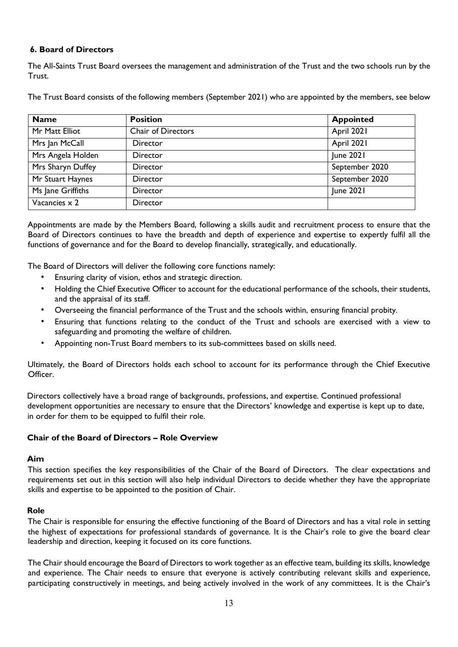# **6. Board of Directors**

The All-Saints Trust Board oversees the management and administration of the Trust and the two schools run by the Trust.

The Trust Board consists of the following members (September 2021) who are appointed by the members, see below

| <b>Name</b>       | <b>Position</b>           | <b>Appointed</b> |
|-------------------|---------------------------|------------------|
| Mr Matt Elliot    | <b>Chair of Directors</b> | April 2021       |
| Mrs Jan McCall    | Director                  | April 2021       |
| Mrs Angela Holden | Director                  | June 2021        |
| Mrs Sharyn Duffey | Director                  | September 2020   |
| Mr Stuart Haynes  | Director                  | September 2020   |
| Ms Jane Griffiths | Director                  | June 2021        |
| Vacancies x 2     | Director                  |                  |

Appointments are made by the Members Board, following a skills audit and recruitment process to ensure that the Board of Directors continues to have the breadth and depth of experience and expertise to expertly fulfil all the functions of governance and for the Board to develop financially, strategically, and educationally.

The Board of Directors will deliver the following core functions namely:

- Ensuring clarity of vision, ethos and strategic direction.
- Holding the Chief Executive Officer to account for the educational performance of the schools, their students, and the appraisal of its staff.
- Overseeing the financial performance of the Trust and the schools within, ensuring financial probity.
- Ensuring that functions relating to the conduct of the Trust and schools are exercised with a view to safeguarding and promoting the welfare of children.
- Appointing non-Trust Board members to its sub-committees based on skills need.

Ultimately, the Board of Directors holds each school to account for its performance through the Chief Executive Officer.

Directors collectively have a broad range of backgrounds, professions, and expertise. Continued professional development opportunities are necessary to ensure that the Directors' knowledge and expertise is kept up to date, in order for them to be equipped to fulfil their role.

# **Chair of the Board of Directors – Role Overview**

#### **Aim**

This section specifies the key responsibilities of the Chair of the Board of Directors. The clear expectations and requirements set out in this section will also help individual Directors to decide whether they have the appropriate skills and expertise to be appointed to the position of Chair.

#### **Role**

The Chair is responsible for ensuring the effective functioning of the Board of Directors and has a vital role in setting the highest of expectations for professional standards of governance. It is the Chair's role to give the board clear leadership and direction, keeping it focused on its core functions.

The Chair should encourage the Board of Directors to work together as an effective team, building its skills, knowledge and experience. The Chair needs to ensure that everyone is actively contributing relevant skills and experience, participating constructively in meetings, and being actively involved in the work of any committees. It is the Chair's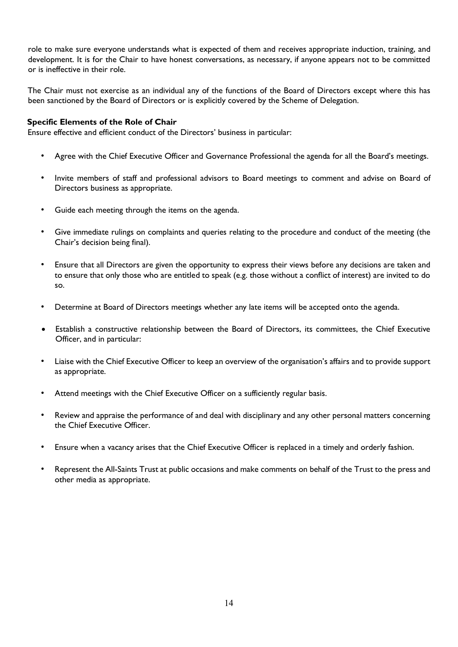role to make sure everyone understands what is expected of them and receives appropriate induction, training, and development. It is for the Chair to have honest conversations, as necessary, if anyone appears not to be committed or is ineffective in their role.

The Chair must not exercise as an individual any of the functions of the Board of Directors except where this has been sanctioned by the Board of Directors or is explicitly covered by the Scheme of Delegation.

## **Specific Elements of the Role of Chair**

Ensure effective and efficient conduct of the Directors' business in particular:

- Agree with the Chief Executive Officer and Governance Professional the agenda for all the Board's meetings.
- Invite members of staff and professional advisors to Board meetings to comment and advise on Board of Directors business as appropriate.
- Guide each meeting through the items on the agenda.
- Give immediate rulings on complaints and queries relating to the procedure and conduct of the meeting (the Chair's decision being final).
- Ensure that all Directors are given the opportunity to express their views before any decisions are taken and to ensure that only those who are entitled to speak (e.g. those without a conflict of interest) are invited to do so.
- Determine at Board of Directors meetings whether any late items will be accepted onto the agenda.
- Establish a constructive relationship between the Board of Directors, its committees, the Chief Executive Officer, and in particular:
- Liaise with the Chief Executive Officer to keep an overview of the organisation's affairs and to provide support as appropriate.
- Attend meetings with the Chief Executive Officer on a sufficiently regular basis.
- Review and appraise the performance of and deal with disciplinary and any other personal matters concerning the Chief Executive Officer.
- Ensure when a vacancy arises that the Chief Executive Officer is replaced in a timely and orderly fashion.
- Represent the All-Saints Trust at public occasions and make comments on behalf of the Trust to the press and other media as appropriate.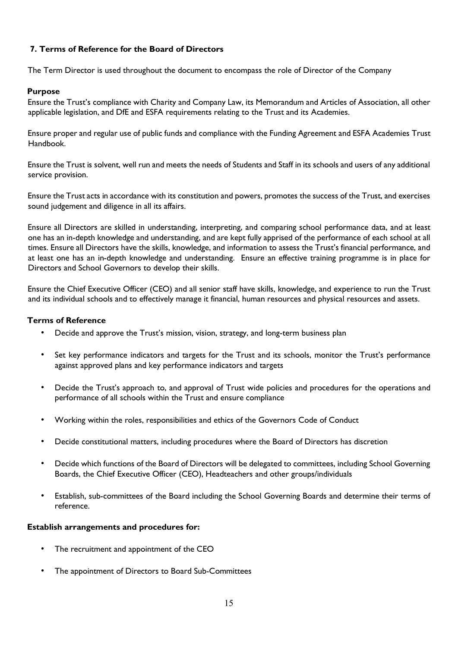# **7. Terms of Reference for the Board of Directors**

The Term Director is used throughout the document to encompass the role of Director of the Company

## **Purpose**

Ensure the Trust's compliance with Charity and Company Law, its Memorandum and Articles of Association, all other applicable legislation, and DfE and ESFA requirements relating to the Trust and its Academies.

Ensure proper and regular use of public funds and compliance with the Funding Agreement and ESFA Academies Trust Handbook.

Ensure the Trust is solvent, well run and meets the needs of Students and Staff in its schools and users of any additional service provision.

Ensure the Trust acts in accordance with its constitution and powers, promotes the success of the Trust, and exercises sound judgement and diligence in all its affairs.

Ensure all Directors are skilled in understanding, interpreting, and comparing school performance data, and at least one has an in-depth knowledge and understanding, and are kept fully apprised of the performance of each school at all times. Ensure all Directors have the skills, knowledge, and information to assess the Trust's financial performance, and at least one has an in-depth knowledge and understanding. Ensure an effective training programme is in place for Directors and School Governors to develop their skills.

Ensure the Chief Executive Officer (CEO) and all senior staff have skills, knowledge, and experience to run the Trust and its individual schools and to effectively manage it financial, human resources and physical resources and assets.

#### **Terms of Reference**

- Decide and approve the Trust's mission, vision, strategy, and long-term business plan
- Set key performance indicators and targets for the Trust and its schools, monitor the Trust's performance against approved plans and key performance indicators and targets
- Decide the Trust's approach to, and approval of Trust wide policies and procedures for the operations and performance of all schools within the Trust and ensure compliance
- Working within the roles, responsibilities and ethics of the Governors Code of Conduct
- Decide constitutional matters, including procedures where the Board of Directors has discretion
- Decide which functions of the Board of Directors will be delegated to committees, including School Governing Boards, the Chief Executive Officer (CEO), Headteachers and other groups/individuals
- Establish, sub-committees of the Board including the School Governing Boards and determine their terms of reference.

#### **Establish arrangements and procedures for:**

- The recruitment and appointment of the CEO
- The appointment of Directors to Board Sub-Committees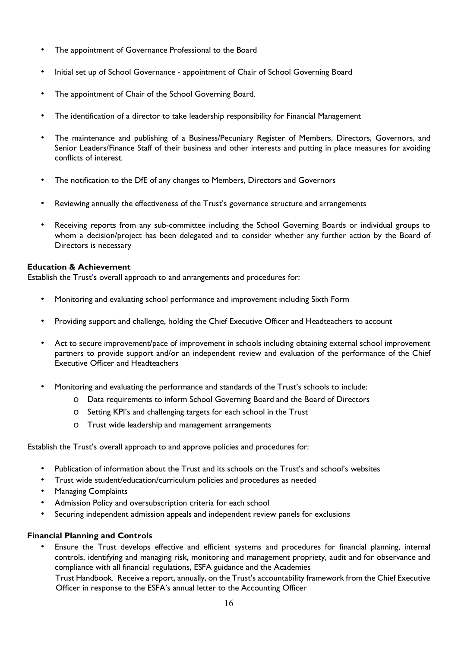- The appointment of Governance Professional to the Board
- Initial set up of School Governance appointment of Chair of School Governing Board
- The appointment of Chair of the School Governing Board.
- The identification of a director to take leadership responsibility for Financial Management
- The maintenance and publishing of a Business/Pecuniary Register of Members, Directors, Governors, and Senior Leaders/Finance Staff of their business and other interests and putting in place measures for avoiding conflicts of interest.
- The notification to the DfE of any changes to Members, Directors and Governors
- Reviewing annually the effectiveness of the Trust's governance structure and arrangements
- Receiving reports from any sub-committee including the School Governing Boards or individual groups to whom a decision/project has been delegated and to consider whether any further action by the Board of Directors is necessary

# **Education & Achievement**

Establish the Trust's overall approach to and arrangements and procedures for:

- Monitoring and evaluating school performance and improvement including Sixth Form
- Providing support and challenge, holding the Chief Executive Officer and Headteachers to account
- Act to secure improvement/pace of improvement in schools including obtaining external school improvement partners to provide support and/or an independent review and evaluation of the performance of the Chief Executive Officer and Headteachers
- Monitoring and evaluating the performance and standards of the Trust's schools to include:
	- o Data requirements to inform School Governing Board and the Board of Directors
	- o Setting KPI's and challenging targets for each school in the Trust
	- o Trust wide leadership and management arrangements

Establish the Trust's overall approach to and approve policies and procedures for:

- Publication of information about the Trust and its schools on the Trust's and school's websites
- Trust wide student/education/curriculum policies and procedures as needed
- Managing Complaints
- Admission Policy and oversubscription criteria for each school
- Securing independent admission appeals and independent review panels for exclusions

# **Financial Planning and Controls**

• Ensure the Trust develops effective and efficient systems and procedures for financial planning, internal controls, identifying and managing risk, monitoring and management propriety, audit and for observance and compliance with all financial regulations, ESFA guidance and the Academies

Trust Handbook. Receive a report, annually, on the Trust's accountability framework from the Chief Executive Officer in response to the ESFA's annual letter to the Accounting Officer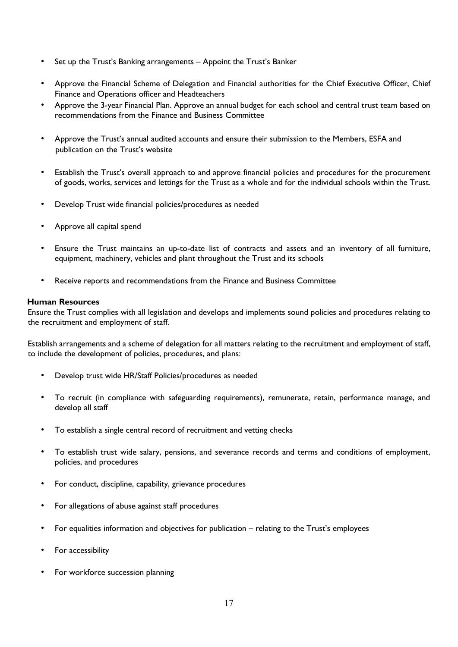- Set up the Trust's Banking arrangements Appoint the Trust's Banker
- Approve the Financial Scheme of Delegation and Financial authorities for the Chief Executive Officer, Chief Finance and Operations officer and Headteachers
- Approve the 3-year Financial Plan. Approve an annual budget for each school and central trust team based on recommendations from the Finance and Business Committee
- Approve the Trust's annual audited accounts and ensure their submission to the Members, ESFA and publication on the Trust's website
- Establish the Trust's overall approach to and approve financial policies and procedures for the procurement of goods, works, services and lettings for the Trust as a whole and for the individual schools within the Trust.
- Develop Trust wide financial policies/procedures as needed
- Approve all capital spend
- Ensure the Trust maintains an up-to-date list of contracts and assets and an inventory of all furniture, equipment, machinery, vehicles and plant throughout the Trust and its schools
- Receive reports and recommendations from the Finance and Business Committee

#### **Human Resources**

Ensure the Trust complies with all legislation and develops and implements sound policies and procedures relating to the recruitment and employment of staff.

Establish arrangements and a scheme of delegation for all matters relating to the recruitment and employment of staff, to include the development of policies, procedures, and plans:

- Develop trust wide HR/Staff Policies/procedures as needed
- To recruit (in compliance with safeguarding requirements), remunerate, retain, performance manage, and develop all staff
- To establish a single central record of recruitment and vetting checks
- To establish trust wide salary, pensions, and severance records and terms and conditions of employment, policies, and procedures
- For conduct, discipline, capability, grievance procedures
- For allegations of abuse against staff procedures
- For equalities information and objectives for publication relating to the Trust's employees
- For accessibility
- For workforce succession planning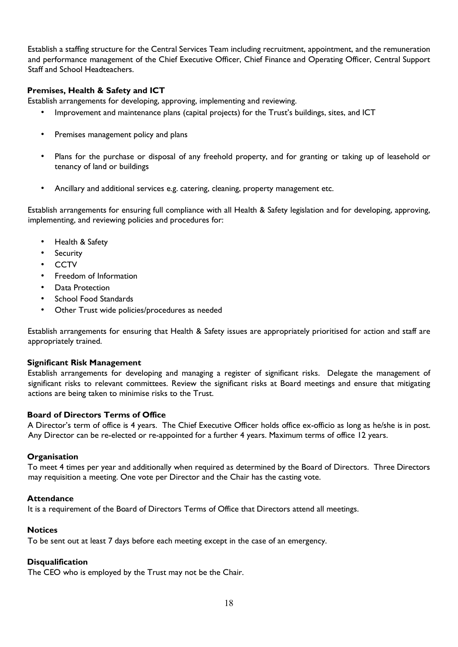Establish a staffing structure for the Central Services Team including recruitment, appointment, and the remuneration and performance management of the Chief Executive Officer, Chief Finance and Operating Officer, Central Support Staff and School Headteachers.

# **Premises, Health & Safety and ICT**

Establish arrangements for developing, approving, implementing and reviewing.

- Improvement and maintenance plans (capital projects) for the Trust's buildings, sites, and ICT
- Premises management policy and plans
- Plans for the purchase or disposal of any freehold property, and for granting or taking up of leasehold or tenancy of land or buildings
- Ancillary and additional services e.g. catering, cleaning, property management etc.

Establish arrangements for ensuring full compliance with all Health & Safety legislation and for developing, approving, implementing, and reviewing policies and procedures for:

- Health & Safety
- **Security**
- **CCTV**
- Freedom of Information
- Data Protection
- School Food Standards
- Other Trust wide policies/procedures as needed

Establish arrangements for ensuring that Health & Safety issues are appropriately prioritised for action and staff are appropriately trained.

#### **Significant Risk Management**

Establish arrangements for developing and managing a register of significant risks. Delegate the management of significant risks to relevant committees. Review the significant risks at Board meetings and ensure that mitigating actions are being taken to minimise risks to the Trust.

# **Board of Directors Terms of Office**

A Director's term of office is 4 years. The Chief Executive Officer holds office ex-officio as long as he/she is in post. Any Director can be re-elected or re-appointed for a further 4 years. Maximum terms of office 12 years.

#### **Organisation**

To meet 4 times per year and additionally when required as determined by the Board of Directors. Three Directors may requisition a meeting. One vote per Director and the Chair has the casting vote.

#### **Attendance**

It is a requirement of the Board of Directors Terms of Office that Directors attend all meetings.

#### **Notices**

To be sent out at least 7 days before each meeting except in the case of an emergency.

# **Disqualification**

The CEO who is employed by the Trust may not be the Chair.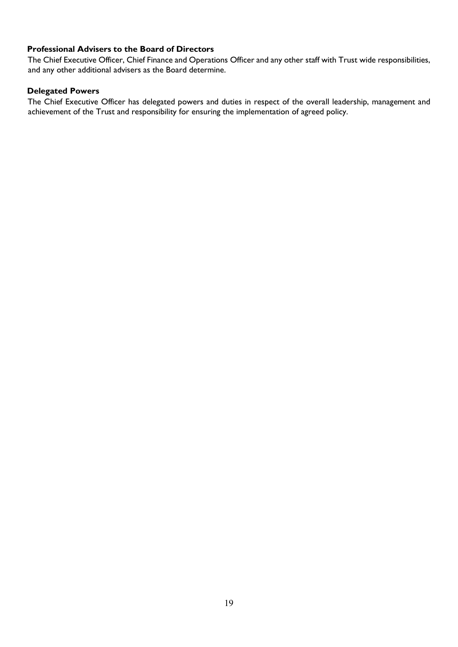# **Professional Advisers to the Board of Directors**

The Chief Executive Officer, Chief Finance and Operations Officer and any other staff with Trust wide responsibilities, and any other additional advisers as the Board determine.

## **Delegated Powers**

The Chief Executive Officer has delegated powers and duties in respect of the overall leadership, management and achievement of the Trust and responsibility for ensuring the implementation of agreed policy.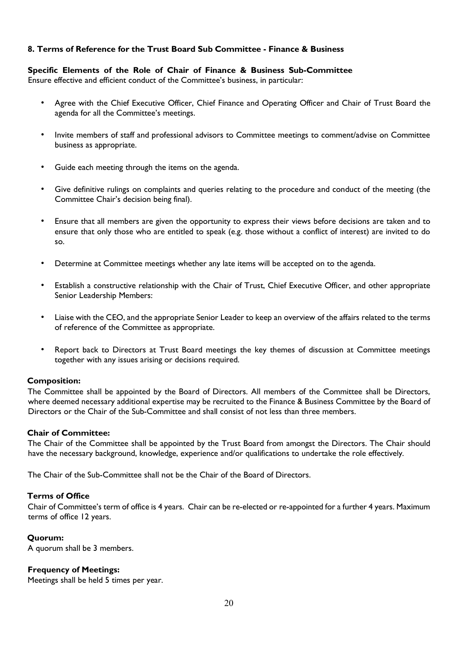# **8. Terms of Reference for the Trust Board Sub Committee - Finance & Business**

## **Specific Elements of the Role of Chair of Finance & Business Sub-Committee**

Ensure effective and efficient conduct of the Committee's business, in particular:

- Agree with the Chief Executive Officer, Chief Finance and Operating Officer and Chair of Trust Board the agenda for all the Committee's meetings.
- Invite members of staff and professional advisors to Committee meetings to comment/advise on Committee business as appropriate.
- Guide each meeting through the items on the agenda.
- Give definitive rulings on complaints and queries relating to the procedure and conduct of the meeting (the Committee Chair's decision being final).
- Ensure that all members are given the opportunity to express their views before decisions are taken and to ensure that only those who are entitled to speak (e.g. those without a conflict of interest) are invited to do so.
- Determine at Committee meetings whether any late items will be accepted on to the agenda.
- Establish a constructive relationship with the Chair of Trust, Chief Executive Officer, and other appropriate Senior Leadership Members:
- Liaise with the CEO, and the appropriate Senior Leader to keep an overview of the affairs related to the terms of reference of the Committee as appropriate.
- Report back to Directors at Trust Board meetings the key themes of discussion at Committee meetings together with any issues arising or decisions required.

#### **Composition:**

The Committee shall be appointed by the Board of Directors. All members of the Committee shall be Directors, where deemed necessary additional expertise may be recruited to the Finance & Business Committee by the Board of Directors or the Chair of the Sub-Committee and shall consist of not less than three members.

# **Chair of Committee:**

The Chair of the Committee shall be appointed by the Trust Board from amongst the Directors. The Chair should have the necessary background, knowledge, experience and/or qualifications to undertake the role effectively.

The Chair of the Sub-Committee shall not be the Chair of the Board of Directors.

# **Terms of Office**

Chair of Committee's term of office is 4 years. Chair can be re-elected or re-appointed for a further 4 years. Maximum terms of office 12 years.

#### **Quorum:**

A quorum shall be 3 members.

#### **Frequency of Meetings:**

Meetings shall be held 5 times per year.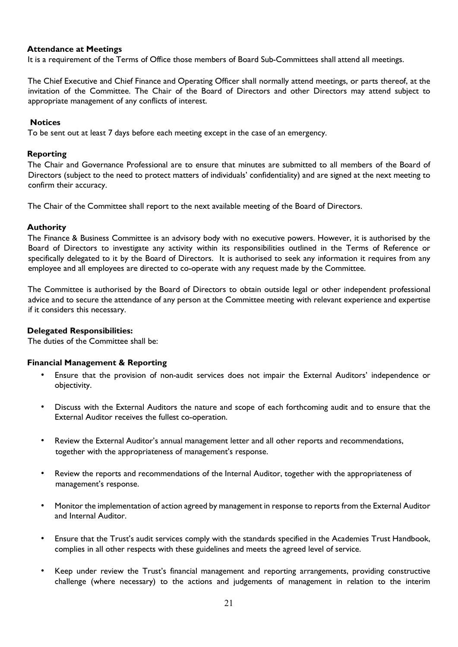## **Attendance at Meetings**

It is a requirement of the Terms of Office those members of Board Sub-Committees shall attend all meetings.

The Chief Executive and Chief Finance and Operating Officer shall normally attend meetings, or parts thereof, at the invitation of the Committee. The Chair of the Board of Directors and other Directors may attend subject to appropriate management of any conflicts of interest.

#### **Notices**

To be sent out at least 7 days before each meeting except in the case of an emergency.

#### **Reporting**

The Chair and Governance Professional are to ensure that minutes are submitted to all members of the Board of Directors (subject to the need to protect matters of individuals' confidentiality) and are signed at the next meeting to confirm their accuracy.

The Chair of the Committee shall report to the next available meeting of the Board of Directors.

#### **Authority**

The Finance & Business Committee is an advisory body with no executive powers. However, it is authorised by the Board of Directors to investigate any activity within its responsibilities outlined in the Terms of Reference or specifically delegated to it by the Board of Directors. It is authorised to seek any information it requires from any employee and all employees are directed to co-operate with any request made by the Committee.

The Committee is authorised by the Board of Directors to obtain outside legal or other independent professional advice and to secure the attendance of any person at the Committee meeting with relevant experience and expertise if it considers this necessary.

#### **Delegated Responsibilities:**

The duties of the Committee shall be:

#### **Financial Management & Reporting**

- Ensure that the provision of non-audit services does not impair the External Auditors' independence or objectivity.
- Discuss with the External Auditors the nature and scope of each forthcoming audit and to ensure that the External Auditor receives the fullest co-operation.
- Review the External Auditor's annual management letter and all other reports and recommendations, together with the appropriateness of management's response.
- Review the reports and recommendations of the Internal Auditor, together with the appropriateness of management's response.
- Monitor the implementation of action agreed by management in response to reports from the External Auditor and Internal Auditor.
- Ensure that the Trust's audit services comply with the standards specified in the Academies Trust Handbook, complies in all other respects with these guidelines and meets the agreed level of service.
- Keep under review the Trust's financial management and reporting arrangements, providing constructive challenge (where necessary) to the actions and judgements of management in relation to the interim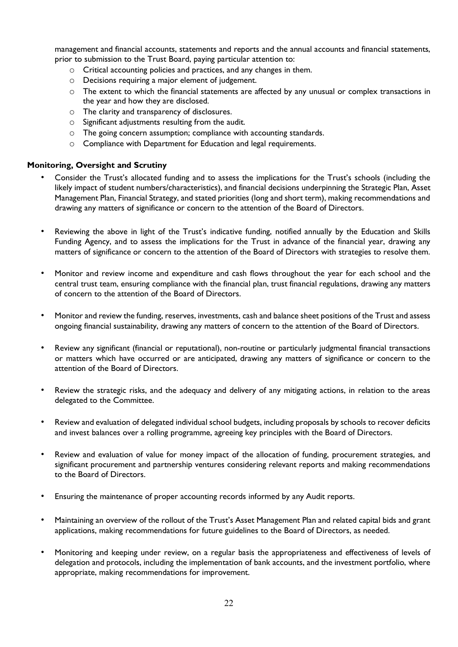management and financial accounts, statements and reports and the annual accounts and financial statements, prior to submission to the Trust Board, paying particular attention to:

- o Critical accounting policies and practices, and any changes in them.
- o Decisions requiring a major element of judgement.
- $\circ$  The extent to which the financial statements are affected by any unusual or complex transactions in the year and how they are disclosed.
- o The clarity and transparency of disclosures.
- o Significant adjustments resulting from the audit.
- o The going concern assumption; compliance with accounting standards.
- o Compliance with Department for Education and legal requirements.

# **Monitoring, Oversight and Scrutiny**

- Consider the Trust's allocated funding and to assess the implications for the Trust's schools (including the likely impact of student numbers/characteristics), and financial decisions underpinning the Strategic Plan, Asset Management Plan, Financial Strategy, and stated priorities (long and short term), making recommendations and drawing any matters of significance or concern to the attention of the Board of Directors.
- Reviewing the above in light of the Trust's indicative funding, notified annually by the Education and Skills Funding Agency, and to assess the implications for the Trust in advance of the financial year, drawing any matters of significance or concern to the attention of the Board of Directors with strategies to resolve them.
- Monitor and review income and expenditure and cash flows throughout the year for each school and the central trust team, ensuring compliance with the financial plan, trust financial regulations, drawing any matters of concern to the attention of the Board of Directors.
- Monitor and review the funding, reserves, investments, cash and balance sheet positions of the Trust and assess ongoing financial sustainability, drawing any matters of concern to the attention of the Board of Directors.
- Review any significant (financial or reputational), non-routine or particularly judgmental financial transactions or matters which have occurred or are anticipated, drawing any matters of significance or concern to the attention of the Board of Directors.
- Review the strategic risks, and the adequacy and delivery of any mitigating actions, in relation to the areas delegated to the Committee.
- Review and evaluation of delegated individual school budgets, including proposals by schools to recover deficits and invest balances over a rolling programme, agreeing key principles with the Board of Directors.
- Review and evaluation of value for money impact of the allocation of funding, procurement strategies, and significant procurement and partnership ventures considering relevant reports and making recommendations to the Board of Directors.
- Ensuring the maintenance of proper accounting records informed by any Audit reports.
- Maintaining an overview of the rollout of the Trust's Asset Management Plan and related capital bids and grant applications, making recommendations for future guidelines to the Board of Directors, as needed.
- Monitoring and keeping under review, on a regular basis the appropriateness and effectiveness of levels of delegation and protocols, including the implementation of bank accounts, and the investment portfolio, where appropriate, making recommendations for improvement.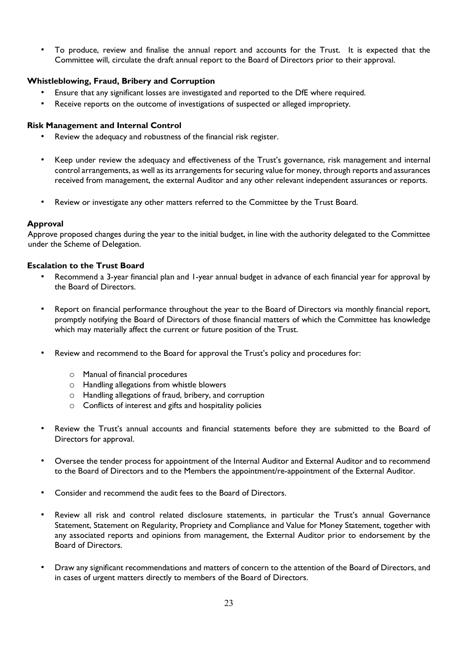• To produce, review and finalise the annual report and accounts for the Trust. It is expected that the Committee will, circulate the draft annual report to the Board of Directors prior to their approval.

# **Whistleblowing, Fraud, Bribery and Corruption**

- Ensure that any significant losses are investigated and reported to the DfE where required.
- Receive reports on the outcome of investigations of suspected or alleged impropriety.

# **Risk Management and Internal Control**

- Review the adequacy and robustness of the financial risk register.
- Keep under review the adequacy and effectiveness of the Trust's governance, risk management and internal control arrangements, as well as its arrangements for securing value for money, through reports and assurances received from management, the external Auditor and any other relevant independent assurances or reports.
- Review or investigate any other matters referred to the Committee by the Trust Board.

# **Approval**

Approve proposed changes during the year to the initial budget, in line with the authority delegated to the Committee under the Scheme of Delegation.

## **Escalation to the Trust Board**

- Recommend a 3-year financial plan and 1-year annual budget in advance of each financial year for approval by the Board of Directors.
- Report on financial performance throughout the year to the Board of Directors via monthly financial report, promptly notifying the Board of Directors of those financial matters of which the Committee has knowledge which may materially affect the current or future position of the Trust.
- Review and recommend to the Board for approval the Trust's policy and procedures for:
	- o Manual of financial procedures
	- o Handling allegations from whistle blowers
	- o Handling allegations of fraud, bribery, and corruption
	- o Conflicts of interest and gifts and hospitality policies
- Review the Trust's annual accounts and financial statements before they are submitted to the Board of Directors for approval.
- Oversee the tender process for appointment of the Internal Auditor and External Auditor and to recommend to the Board of Directors and to the Members the appointment/re-appointment of the External Auditor.
- Consider and recommend the audit fees to the Board of Directors.
- Review all risk and control related disclosure statements, in particular the Trust's annual Governance Statement, Statement on Regularity, Propriety and Compliance and Value for Money Statement, together with any associated reports and opinions from management, the External Auditor prior to endorsement by the Board of Directors.
- Draw any significant recommendations and matters of concern to the attention of the Board of Directors, and in cases of urgent matters directly to members of the Board of Directors.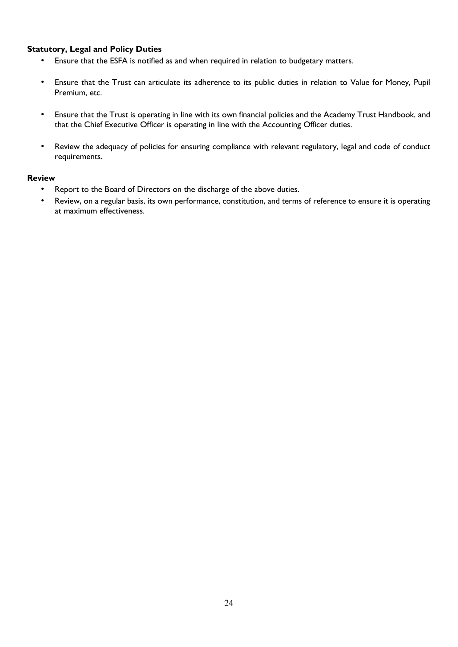# **Statutory, Legal and Policy Duties**

- Ensure that the ESFA is notified as and when required in relation to budgetary matters.
- Ensure that the Trust can articulate its adherence to its public duties in relation to Value for Money, Pupil Premium, etc.
- Ensure that the Trust is operating in line with its own financial policies and the Academy Trust Handbook, and that the Chief Executive Officer is operating in line with the Accounting Officer duties.
- Review the adequacy of policies for ensuring compliance with relevant regulatory, legal and code of conduct requirements.

#### **Review**

- Report to the Board of Directors on the discharge of the above duties.
- Review, on a regular basis, its own performance, constitution, and terms of reference to ensure it is operating at maximum effectiveness.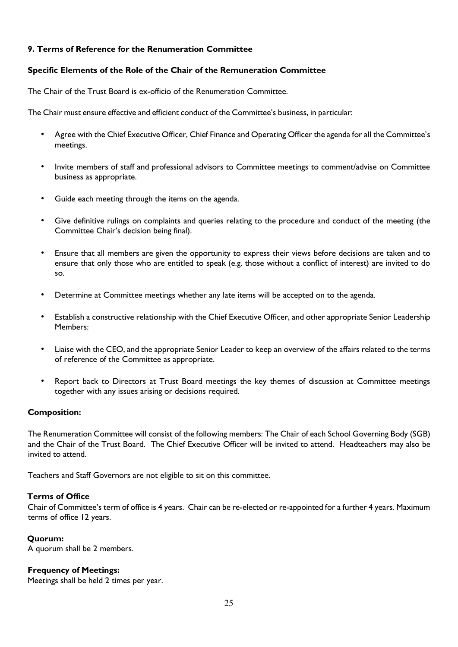# **9. Terms of Reference for the Renumeration Committee**

# **Specific Elements of the Role of the Chair of the Remuneration Committee**

The Chair of the Trust Board is ex-officio of the Renumeration Committee.

The Chair must ensure effective and efficient conduct of the Committee's business, in particular:

- Agree with the Chief Executive Officer, Chief Finance and Operating Officer the agenda for all the Committee's meetings.
- Invite members of staff and professional advisors to Committee meetings to comment/advise on Committee business as appropriate.
- Guide each meeting through the items on the agenda.
- Give definitive rulings on complaints and queries relating to the procedure and conduct of the meeting (the Committee Chair's decision being final).
- Ensure that all members are given the opportunity to express their views before decisions are taken and to ensure that only those who are entitled to speak (e.g. those without a conflict of interest) are invited to do so.
- Determine at Committee meetings whether any late items will be accepted on to the agenda.
- Establish a constructive relationship with the Chief Executive Officer, and other appropriate Senior Leadership Members:
- Liaise with the CEO, and the appropriate Senior Leader to keep an overview of the affairs related to the terms of reference of the Committee as appropriate.
- Report back to Directors at Trust Board meetings the key themes of discussion at Committee meetings together with any issues arising or decisions required.

# **Composition:**

The Renumeration Committee will consist of the following members: The Chair of each School Governing Body (SGB) and the Chair of the Trust Board. The Chief Executive Officer will be invited to attend. Headteachers may also be invited to attend.

Teachers and Staff Governors are not eligible to sit on this committee.

#### **Terms of Office**

Chair of Committee's term of office is 4 years. Chair can be re-elected or re-appointed for a further 4 years. Maximum terms of office 12 years.

#### **Quorum:**

A quorum shall be 2 members.

#### **Frequency of Meetings:**

Meetings shall be held 2 times per year.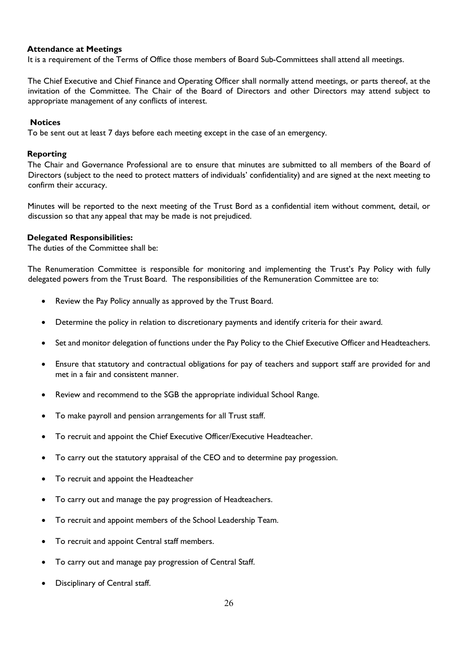## **Attendance at Meetings**

It is a requirement of the Terms of Office those members of Board Sub-Committees shall attend all meetings.

The Chief Executive and Chief Finance and Operating Officer shall normally attend meetings, or parts thereof, at the invitation of the Committee. The Chair of the Board of Directors and other Directors may attend subject to appropriate management of any conflicts of interest.

#### **Notices**

To be sent out at least 7 days before each meeting except in the case of an emergency.

#### **Reporting**

The Chair and Governance Professional are to ensure that minutes are submitted to all members of the Board of Directors (subject to the need to protect matters of individuals' confidentiality) and are signed at the next meeting to confirm their accuracy.

Minutes will be reported to the next meeting of the Trust Bord as a confidential item without comment, detail, or discussion so that any appeal that may be made is not prejudiced.

#### **Delegated Responsibilities:**

The duties of the Committee shall be:

The Renumeration Committee is responsible for monitoring and implementing the Trust's Pay Policy with fully delegated powers from the Trust Board. The responsibilities of the Remuneration Committee are to:

- Review the Pay Policy annually as approved by the Trust Board.
- Determine the policy in relation to discretionary payments and identify criteria for their award.
- Set and monitor delegation of functions under the Pay Policy to the Chief Executive Officer and Headteachers.
- Ensure that statutory and contractual obligations for pay of teachers and support staff are provided for and met in a fair and consistent manner.
- Review and recommend to the SGB the appropriate individual School Range.
- To make payroll and pension arrangements for all Trust staff.
- To recruit and appoint the Chief Executive Officer/Executive Headteacher.
- To carry out the statutory appraisal of the CEO and to determine pay progession.
- To recruit and appoint the Headteacher
- To carry out and manage the pay progression of Headteachers.
- To recruit and appoint members of the School Leadership Team.
- To recruit and appoint Central staff members.
- To carry out and manage pay progression of Central Staff.
- Disciplinary of Central staff.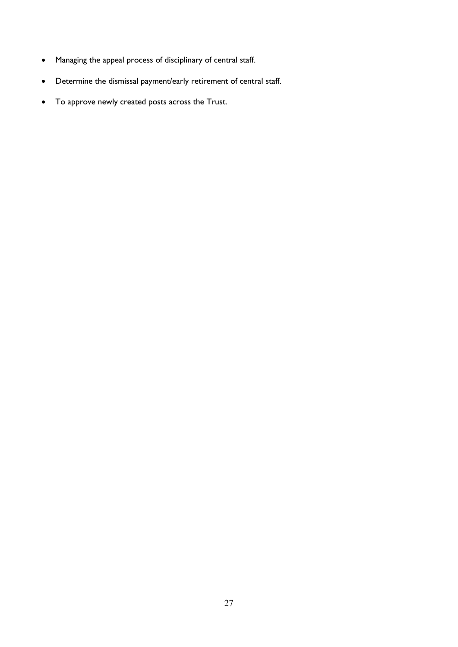- Managing the appeal process of disciplinary of central staff.
- Determine the dismissal payment/early retirement of central staff.
- To approve newly created posts across the Trust.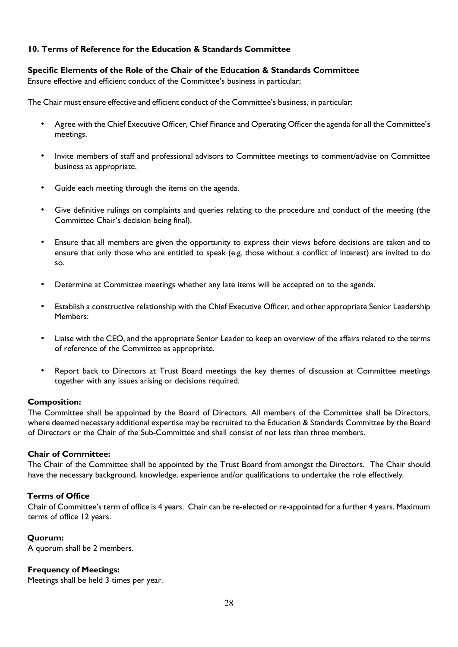# **10. Terms of Reference for the Education & Standards Committee**

## **Specific Elements of the Role of the Chair of the Education & Standards Committee**

Ensure effective and efficient conduct of the Committee's business in particular;

The Chair must ensure effective and efficient conduct of the Committee's business, in particular:

- Agree with the Chief Executive Officer, Chief Finance and Operating Officer the agenda for all the Committee's meetings.
- Invite members of staff and professional advisors to Committee meetings to comment/advise on Committee business as appropriate.
- Guide each meeting through the items on the agenda.
- Give definitive rulings on complaints and queries relating to the procedure and conduct of the meeting (the Committee Chair's decision being final).
- Ensure that all members are given the opportunity to express their views before decisions are taken and to ensure that only those who are entitled to speak (e.g. those without a conflict of interest) are invited to do so.
- Determine at Committee meetings whether any late items will be accepted on to the agenda.
- Establish a constructive relationship with the Chief Executive Officer, and other appropriate Senior Leadership Members:
- Liaise with the CEO, and the appropriate Senior Leader to keep an overview of the affairs related to the terms of reference of the Committee as appropriate.
- Report back to Directors at Trust Board meetings the key themes of discussion at Committee meetings together with any issues arising or decisions required.

# **Composition:**

The Committee shall be appointed by the Board of Directors. All members of the Committee shall be Directors, where deemed necessary additional expertise may be recruited to the Education & Standards Committee by the Board of Directors or the Chair of the Sub-Committee and shall consist of not less than three members.

#### **Chair of Committee:**

The Chair of the Committee shall be appointed by the Trust Board from amongst the Directors. The Chair should have the necessary background, knowledge, experience and/or qualifications to undertake the role effectively.

# **Terms of Office**

Chair of Committee's term of office is 4 years. Chair can be re-elected or re-appointed for a further 4 years. Maximum terms of office 12 years.

#### **Quorum:**

A quorum shall be 2 members.

#### **Frequency of Meetings:**

Meetings shall be held 3 times per year.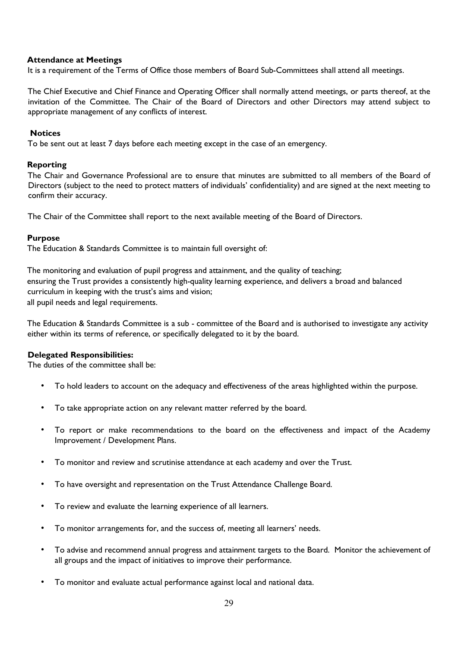## **Attendance at Meetings**

It is a requirement of the Terms of Office those members of Board Sub-Committees shall attend all meetings.

The Chief Executive and Chief Finance and Operating Officer shall normally attend meetings, or parts thereof, at the invitation of the Committee. The Chair of the Board of Directors and other Directors may attend subject to appropriate management of any conflicts of interest.

#### **Notices**

To be sent out at least 7 days before each meeting except in the case of an emergency.

#### **Reporting**

The Chair and Governance Professional are to ensure that minutes are submitted to all members of the Board of Directors (subject to the need to protect matters of individuals' confidentiality) and are signed at the next meeting to confirm their accuracy.

The Chair of the Committee shall report to the next available meeting of the Board of Directors.

## **Purpose**

The Education & Standards Committee is to maintain full oversight of:

The monitoring and evaluation of pupil progress and attainment, and the quality of teaching; ensuring the Trust provides a consistently high-quality learning experience, and delivers a broad and balanced curriculum in keeping with the trust's aims and vision; all pupil needs and legal requirements.

The Education & Standards Committee is a sub - committee of the Board and is authorised to investigate any activity either within its terms of reference, or specifically delegated to it by the board.

# **Delegated Responsibilities:**

The duties of the committee shall be:

- To hold leaders to account on the adequacy and effectiveness of the areas highlighted within the purpose.
- To take appropriate action on any relevant matter referred by the board.
- To report or make recommendations to the board on the effectiveness and impact of the Academy Improvement / Development Plans.
- To monitor and review and scrutinise attendance at each academy and over the Trust.
- To have oversight and representation on the Trust Attendance Challenge Board.
- To review and evaluate the learning experience of all learners.
- To monitor arrangements for, and the success of, meeting all learners' needs.
- To advise and recommend annual progress and attainment targets to the Board. Monitor the achievement of all groups and the impact of initiatives to improve their performance.
- To monitor and evaluate actual performance against local and national data.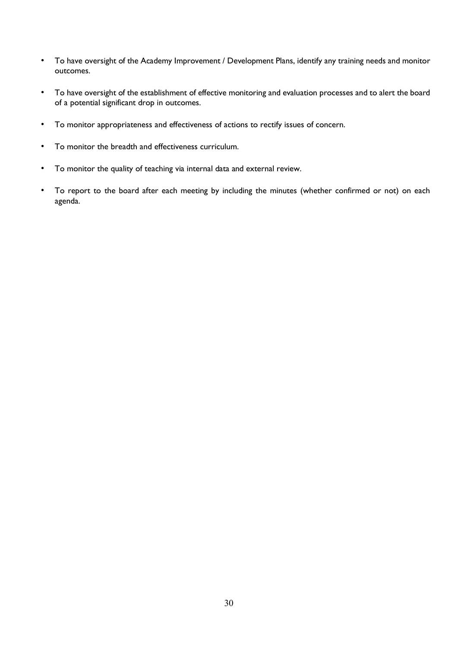- To have oversight of the Academy Improvement / Development Plans, identify any training needs and monitor outcomes.
- To have oversight of the establishment of effective monitoring and evaluation processes and to alert the board of a potential significant drop in outcomes.
- To monitor appropriateness and effectiveness of actions to rectify issues of concern.
- To monitor the breadth and effectiveness curriculum.
- To monitor the quality of teaching via internal data and external review.
- To report to the board after each meeting by including the minutes (whether confirmed or not) on each agenda.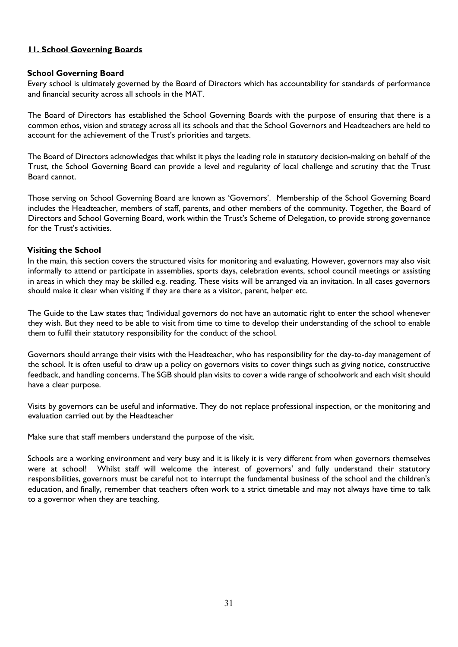# **11. School Governing Boards**

## **School Governing Board**

Every school is ultimately governed by the Board of Directors which has accountability for standards of performance and financial security across all schools in the MAT.

The Board of Directors has established the School Governing Boards with the purpose of ensuring that there is a common ethos, vision and strategy across all its schools and that the School Governors and Headteachers are held to account for the achievement of the Trust's priorities and targets.

The Board of Directors acknowledges that whilst it plays the leading role in statutory decision-making on behalf of the Trust, the School Governing Board can provide a level and regularity of local challenge and scrutiny that the Trust Board cannot.

Those serving on School Governing Board are known as 'Governors'. Membership of the School Governing Board includes the Headteacher, members of staff, parents, and other members of the community. Together, the Board of Directors and School Governing Board, work within the Trust's Scheme of Delegation, to provide strong governance for the Trust's activities.

## **Visiting the School**

In the main, this section covers the structured visits for monitoring and evaluating. However, governors may also visit informally to attend or participate in assemblies, sports days, celebration events, school council meetings or assisting in areas in which they may be skilled e.g. reading. These visits will be arranged via an invitation. In all cases governors should make it clear when visiting if they are there as a visitor, parent, helper etc.

The Guide to the Law states that; 'Individual governors do not have an automatic right to enter the school whenever they wish. But they need to be able to visit from time to time to develop their understanding of the school to enable them to fulfil their statutory responsibility for the conduct of the school.

Governors should arrange their visits with the Headteacher, who has responsibility for the day-to-day management of the school. It is often useful to draw up a policy on governors visits to cover things such as giving notice, constructive feedback, and handling concerns. The SGB should plan visits to cover a wide range of schoolwork and each visit should have a clear purpose.

Visits by governors can be useful and informative. They do not replace professional inspection, or the monitoring and evaluation carried out by the Headteacher

Make sure that staff members understand the purpose of the visit.

Schools are a working environment and very busy and it is likely it is very different from when governors themselves were at school! Whilst staff will welcome the interest of governors' and fully understand their statutory responsibilities, governors must be careful not to interrupt the fundamental business of the school and the children's education, and finally, remember that teachers often work to a strict timetable and may not always have time to talk to a governor when they are teaching.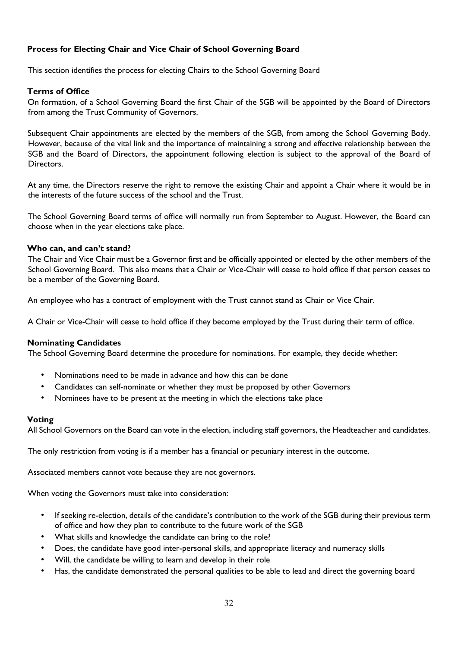# **Process for Electing Chair and Vice Chair of School Governing Board**

This section identifies the process for electing Chairs to the School Governing Board

## **Terms of Office**

On formation, of a School Governing Board the first Chair of the SGB will be appointed by the Board of Directors from among the Trust Community of Governors.

Subsequent Chair appointments are elected by the members of the SGB, from among the School Governing Body. However, because of the vital link and the importance of maintaining a strong and effective relationship between the SGB and the Board of Directors, the appointment following election is subject to the approval of the Board of Directors.

At any time, the Directors reserve the right to remove the existing Chair and appoint a Chair where it would be in the interests of the future success of the school and the Trust.

The School Governing Board terms of office will normally run from September to August. However, the Board can choose when in the year elections take place.

#### **Who can, and can't stand?**

The Chair and Vice Chair must be a Governor first and be officially appointed or elected by the other members of the School Governing Board. This also means that a Chair or Vice-Chair will cease to hold office if that person ceases to be a member of the Governing Board.

An employee who has a contract of employment with the Trust cannot stand as Chair or Vice Chair.

A Chair or Vice-Chair will cease to hold office if they become employed by the Trust during their term of office.

#### **Nominating Candidates**

The School Governing Board determine the procedure for nominations. For example, they decide whether:

- Nominations need to be made in advance and how this can be done
- Candidates can self-nominate or whether they must be proposed by other Governors
- Nominees have to be present at the meeting in which the elections take place

#### **Voting**

All School Governors on the Board can vote in the election, including staff governors, the Headteacher and candidates.

The only restriction from voting is if a member has a financial or pecuniary interest in the outcome.

Associated members cannot vote because they are not governors.

When voting the Governors must take into consideration:

- If seeking re-election, details of the candidate's contribution to the work of the SGB during their previous term of office and how they plan to contribute to the future work of the SGB
- What skills and knowledge the candidate can bring to the role?
- Does, the candidate have good inter-personal skills, and appropriate literacy and numeracy skills
- Will, the candidate be willing to learn and develop in their role
- Has, the candidate demonstrated the personal qualities to be able to lead and direct the governing board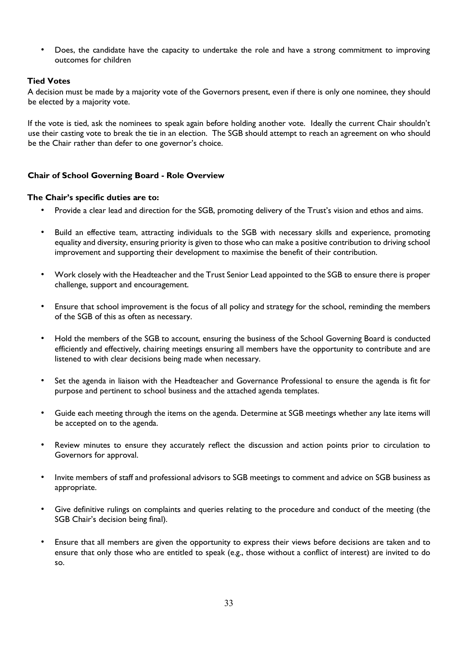• Does, the candidate have the capacity to undertake the role and have a strong commitment to improving outcomes for children

## **Tied Votes**

A decision must be made by a majority vote of the Governors present, even if there is only one nominee, they should be elected by a majority vote.

If the vote is tied, ask the nominees to speak again before holding another vote. Ideally the current Chair shouldn't use their casting vote to break the tie in an election. The SGB should attempt to reach an agreement on who should be the Chair rather than defer to one governor's choice.

## **Chair of School Governing Board - Role Overview**

## **The Chair's specific duties are to:**

- Provide a clear lead and direction for the SGB, promoting delivery of the Trust's vision and ethos and aims.
- Build an effective team, attracting individuals to the SGB with necessary skills and experience, promoting equality and diversity, ensuring priority is given to those who can make a positive contribution to driving school improvement and supporting their development to maximise the benefit of their contribution.
- Work closely with the Headteacher and the Trust Senior Lead appointed to the SGB to ensure there is proper challenge, support and encouragement.
- Ensure that school improvement is the focus of all policy and strategy for the school, reminding the members of the SGB of this as often as necessary.
- Hold the members of the SGB to account, ensuring the business of the School Governing Board is conducted efficiently and effectively, chairing meetings ensuring all members have the opportunity to contribute and are listened to with clear decisions being made when necessary.
- Set the agenda in liaison with the Headteacher and Governance Professional to ensure the agenda is fit for purpose and pertinent to school business and the attached agenda templates.
- Guide each meeting through the items on the agenda. Determine at SGB meetings whether any late items will be accepted on to the agenda.
- Review minutes to ensure they accurately reflect the discussion and action points prior to circulation to Governors for approval.
- Invite members of staff and professional advisors to SGB meetings to comment and advice on SGB business as appropriate.
- Give definitive rulings on complaints and queries relating to the procedure and conduct of the meeting (the SGB Chair's decision being final).
- Ensure that all members are given the opportunity to express their views before decisions are taken and to ensure that only those who are entitled to speak (e.g., those without a conflict of interest) are invited to do so.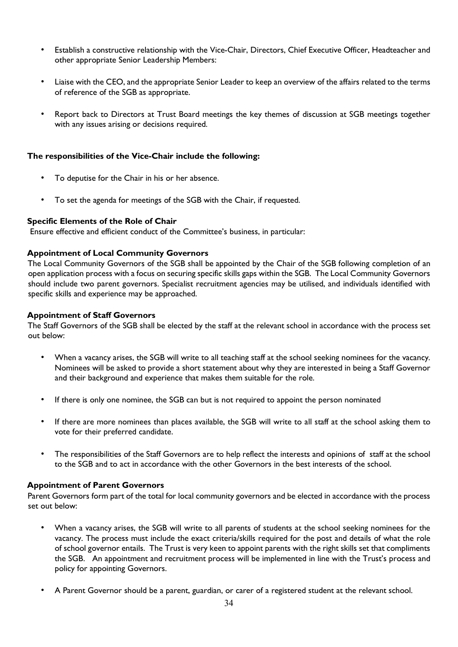- Establish a constructive relationship with the Vice-Chair, Directors, Chief Executive Officer, Headteacher and other appropriate Senior Leadership Members:
- Liaise with the CEO, and the appropriate Senior Leader to keep an overview of the affairs related to the terms of reference of the SGB as appropriate.
- Report back to Directors at Trust Board meetings the key themes of discussion at SGB meetings together with any issues arising or decisions required.

## **The responsibilities of the Vice-Chair include the following:**

- To deputise for the Chair in his or her absence.
- To set the agenda for meetings of the SGB with the Chair, if requested.

## **Specific Elements of the Role of Chair**

Ensure effective and efficient conduct of the Committee's business, in particular:

## **Appointment of Local Community Governors**

The Local Community Governors of the SGB shall be appointed by the Chair of the SGB following completion of an open application process with a focus on securing specific skills gaps within the SGB. The Local Community Governors should include two parent governors. Specialist recruitment agencies may be utilised, and individuals identified with specific skills and experience may be approached.

## **Appointment of Staff Governors**

The Staff Governors of the SGB shall be elected by the staff at the relevant school in accordance with the process set out below:

- When a vacancy arises, the SGB will write to all teaching staff at the school seeking nominees for the vacancy. Nominees will be asked to provide a short statement about why they are interested in being a Staff Governor and their background and experience that makes them suitable for the role.
- If there is only one nominee, the SGB can but is not required to appoint the person nominated
- If there are more nominees than places available, the SGB will write to all staff at the school asking them to vote for their preferred candidate.
- The responsibilities of the Staff Governors are to help reflect the interests and opinions of staff at the school to the SGB and to act in accordance with the other Governors in the best interests of the school.

#### **Appointment of Parent Governors**

Parent Governors form part of the total for local community governors and be elected in accordance with the process set out below:

- When a vacancy arises, the SGB will write to all parents of students at the school seeking nominees for the vacancy. The process must include the exact criteria/skills required for the post and details of what the role of school governor entails. The Trust is very keen to appoint parents with the right skills set that compliments the SGB. An appointment and recruitment process will be implemented in line with the Trust's process and policy for appointing Governors.
- A Parent Governor should be a parent, guardian, or carer of a registered student at the relevant school.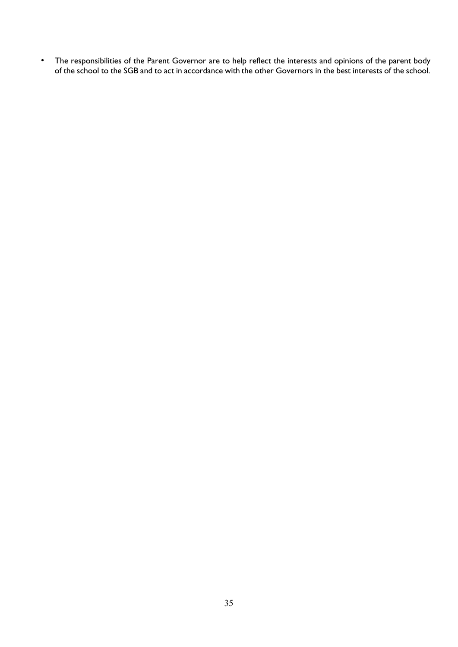• The responsibilities of the Parent Governor are to help reflect the interests and opinions of the parent body of the school to the SGB and to act in accordance with the other Governors in the best interests of the school.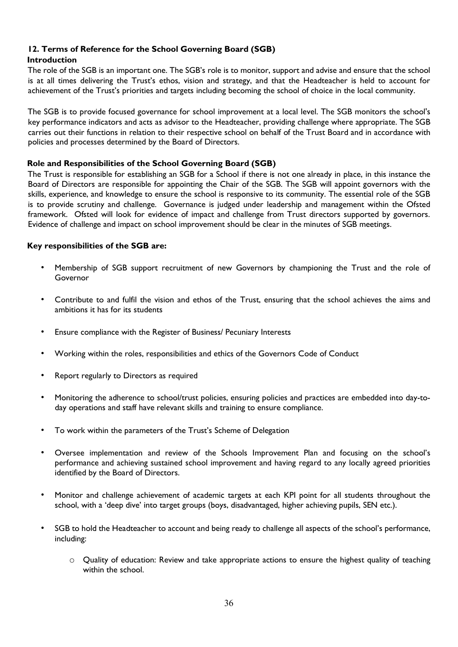# **12. Terms of Reference for the School Governing Board (SGB)**

# **Introduction**

The role of the SGB is an important one. The SGB's role is to monitor, support and advise and ensure that the school is at all times delivering the Trust's ethos, vision and strategy, and that the Headteacher is held to account for achievement of the Trust's priorities and targets including becoming the school of choice in the local community.

The SGB is to provide focused governance for school improvement at a local level. The SGB monitors the school's key performance indicators and acts as advisor to the Headteacher, providing challenge where appropriate. The SGB carries out their functions in relation to their respective school on behalf of the Trust Board and in accordance with policies and processes determined by the Board of Directors.

# **Role and Responsibilities of the School Governing Board (SGB)**

The Trust is responsible for establishing an SGB for a School if there is not one already in place, in this instance the Board of Directors are responsible for appointing the Chair of the SGB. The SGB will appoint governors with the skills, experience, and knowledge to ensure the school is responsive to its community. The essential role of the SGB is to provide scrutiny and challenge. Governance is judged under leadership and management within the Ofsted framework. Ofsted will look for evidence of impact and challenge from Trust directors supported by governors. Evidence of challenge and impact on school improvement should be clear in the minutes of SGB meetings.

# **Key responsibilities of the SGB are:**

- Membership of SGB support recruitment of new Governors by championing the Trust and the role of Governor
- Contribute to and fulfil the vision and ethos of the Trust, ensuring that the school achieves the aims and ambitions it has for its students
- Ensure compliance with the Register of Business/ Pecuniary Interests
- Working within the roles, responsibilities and ethics of the Governors Code of Conduct
- Report regularly to Directors as required
- Monitoring the adherence to school/trust policies, ensuring policies and practices are embedded into day-today operations and staff have relevant skills and training to ensure compliance.
- To work within the parameters of the Trust's Scheme of Delegation
- Oversee implementation and review of the Schools Improvement Plan and focusing on the school's performance and achieving sustained school improvement and having regard to any locally agreed priorities identified by the Board of Directors.
- Monitor and challenge achievement of academic targets at each KPI point for all students throughout the school, with a 'deep dive' into target groups (boys, disadvantaged, higher achieving pupils, SEN etc.).
- SGB to hold the Headteacher to account and being ready to challenge all aspects of the school's performance, including:
	- $\circ$  Quality of education: Review and take appropriate actions to ensure the highest quality of teaching within the school.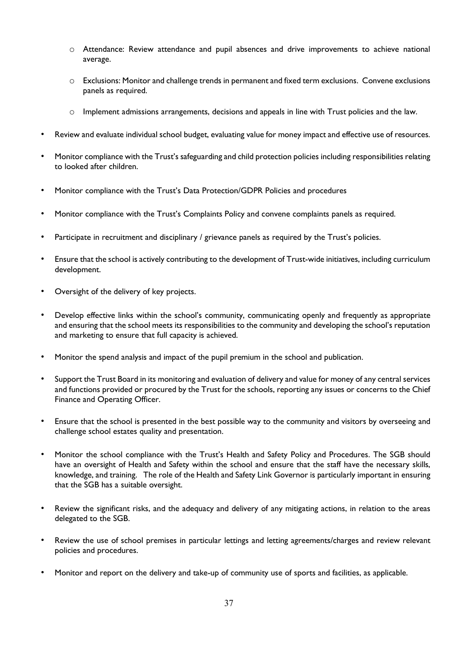- o Attendance: Review attendance and pupil absences and drive improvements to achieve national average.
- o Exclusions: Monitor and challenge trends in permanent and fixed term exclusions. Convene exclusions panels as required.
- o Implement admissions arrangements, decisions and appeals in line with Trust policies and the law.
- Review and evaluate individual school budget, evaluating value for money impact and effective use of resources.
- Monitor compliance with the Trust's safeguarding and child protection policies including responsibilities relating to looked after children.
- Monitor compliance with the Trust's Data Protection/GDPR Policies and procedures
- Monitor compliance with the Trust's Complaints Policy and convene complaints panels as required.
- Participate in recruitment and disciplinary / grievance panels as required by the Trust's policies.
- Ensure that the school is actively contributing to the development of Trust-wide initiatives, including curriculum development.
- Oversight of the delivery of key projects.
- Develop effective links within the school's community, communicating openly and frequently as appropriate and ensuring that the school meets its responsibilities to the community and developing the school's reputation and marketing to ensure that full capacity is achieved.
- Monitor the spend analysis and impact of the pupil premium in the school and publication.
- Support the Trust Board in its monitoring and evaluation of delivery and value for money of any central services and functions provided or procured by the Trust for the schools, reporting any issues or concerns to the Chief Finance and Operating Officer.
- Ensure that the school is presented in the best possible way to the community and visitors by overseeing and challenge school estates quality and presentation.
- Monitor the school compliance with the Trust's Health and Safety Policy and Procedures. The SGB should have an oversight of Health and Safety within the school and ensure that the staff have the necessary skills, knowledge, and training. The role of the Health and Safety Link Governor is particularly important in ensuring that the SGB has a suitable oversight.
- Review the significant risks, and the adequacy and delivery of any mitigating actions, in relation to the areas delegated to the SGB.
- Review the use of school premises in particular lettings and letting agreements/charges and review relevant policies and procedures.
- Monitor and report on the delivery and take-up of community use of sports and facilities, as applicable.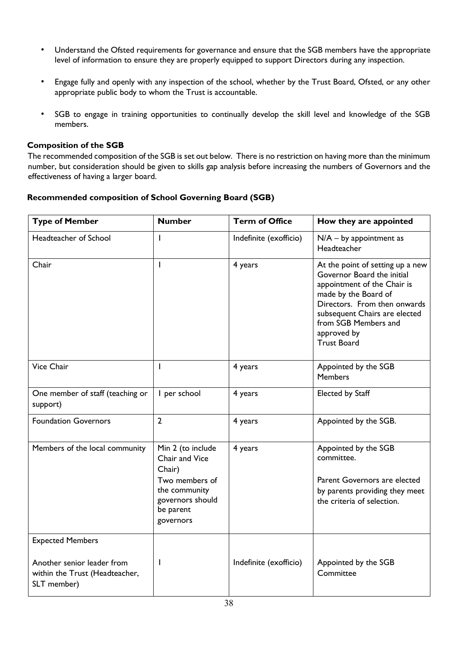- Understand the Ofsted requirements for governance and ensure that the SGB members have the appropriate level of information to ensure they are properly equipped to support Directors during any inspection.
- Engage fully and openly with any inspection of the school, whether by the Trust Board, Ofsted, or any other appropriate public body to whom the Trust is accountable.
- SGB to engage in training opportunities to continually develop the skill level and knowledge of the SGB members.

## **Composition of the SGB**

The recommended composition of the SGB is set out below. There is no restriction on having more than the minimum number, but consideration should be given to skills gap analysis before increasing the numbers of Governors and the effectiveness of having a larger board.

# **Recommended composition of School Governing Board (SGB)**

| <b>Type of Member</b>                                                       | <b>Number</b>                                                                                                                  | <b>Term of Office</b>  | How they are appointed                                                                                                                                                                                                                              |
|-----------------------------------------------------------------------------|--------------------------------------------------------------------------------------------------------------------------------|------------------------|-----------------------------------------------------------------------------------------------------------------------------------------------------------------------------------------------------------------------------------------------------|
| Headteacher of School                                                       | $\mathbf{I}$                                                                                                                   | Indefinite (exofficio) | $N/A - by$ appointment as<br>Headteacher                                                                                                                                                                                                            |
| Chair                                                                       | I                                                                                                                              | 4 years                | At the point of setting up a new<br>Governor Board the initial<br>appointment of the Chair is<br>made by the Board of<br>Directors. From then onwards<br>subsequent Chairs are elected<br>from SGB Members and<br>approved by<br><b>Trust Board</b> |
| Vice Chair                                                                  | $\mathbf{I}$                                                                                                                   | 4 years                | Appointed by the SGB<br><b>Members</b>                                                                                                                                                                                                              |
| One member of staff (teaching or<br>support)                                | I per school                                                                                                                   | 4 years                | Elected by Staff                                                                                                                                                                                                                                    |
| <b>Foundation Governors</b>                                                 | $\overline{2}$                                                                                                                 | 4 years                | Appointed by the SGB.                                                                                                                                                                                                                               |
| Members of the local community                                              | Min 2 (to include<br>Chair and Vice<br>Chair)<br>Two members of<br>the community<br>governors should<br>be parent<br>governors | 4 years                | Appointed by the SGB<br>committee.<br>Parent Governors are elected<br>by parents providing they meet<br>the criteria of selection.                                                                                                                  |
| <b>Expected Members</b>                                                     |                                                                                                                                |                        |                                                                                                                                                                                                                                                     |
| Another senior leader from<br>within the Trust (Headteacher,<br>SLT member) |                                                                                                                                | Indefinite (exofficio) | Appointed by the SGB<br>Committee                                                                                                                                                                                                                   |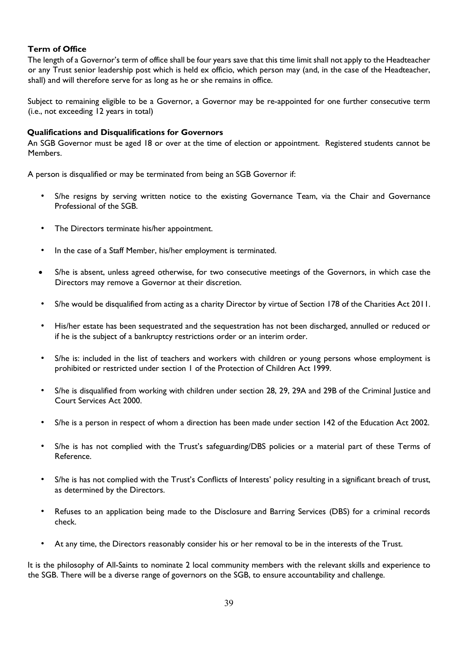# **Term of Office**

The length of a Governor's term of office shall be four years save that this time limit shall not apply to the Headteacher or any Trust senior leadership post which is held ex officio, which person may (and, in the case of the Headteacher, shall) and will therefore serve for as long as he or she remains in office.

Subject to remaining eligible to be a Governor, a Governor may be re-appointed for one further consecutive term (i.e., not exceeding 12 years in total)

## **Qualifications and Disqualifications for Governors**

An SGB Governor must be aged 18 or over at the time of election or appointment. Registered students cannot be Members.

A person is disqualified or may be terminated from being an SGB Governor if:

- S/he resigns by serving written notice to the existing Governance Team, via the Chair and Governance Professional of the SGB.
- The Directors terminate his/her appointment.
- In the case of a Staff Member, his/her employment is terminated.
- S/he is absent, unless agreed otherwise, for two consecutive meetings of the Governors, in which case the Directors may remove a Governor at their discretion.
- S/he would be disqualified from acting as a charity Director by virtue of Section 178 of the Charities Act 2011.
- His/her estate has been sequestrated and the sequestration has not been discharged, annulled or reduced or if he is the subject of a bankruptcy restrictions order or an interim order.
- S/he is: included in the list of teachers and workers with children or young persons whose employment is prohibited or restricted under section 1 of the Protection of Children Act 1999.
- S/he is disqualified from working with children under section 28, 29, 29A and 29B of the Criminal Justice and Court Services Act 2000.
- S/he is a person in respect of whom a direction has been made under section 142 of the Education Act 2002.
- S/he is has not complied with the Trust's safeguarding/DBS policies or a material part of these Terms of Reference.
- S/he is has not complied with the Trust's Conflicts of Interests' policy resulting in a significant breach of trust, as determined by the Directors.
- Refuses to an application being made to the Disclosure and Barring Services (DBS) for a criminal records check.
- At any time, the Directors reasonably consider his or her removal to be in the interests of the Trust.

It is the philosophy of All-Saints to nominate 2 local community members with the relevant skills and experience to the SGB. There will be a diverse range of governors on the SGB, to ensure accountability and challenge.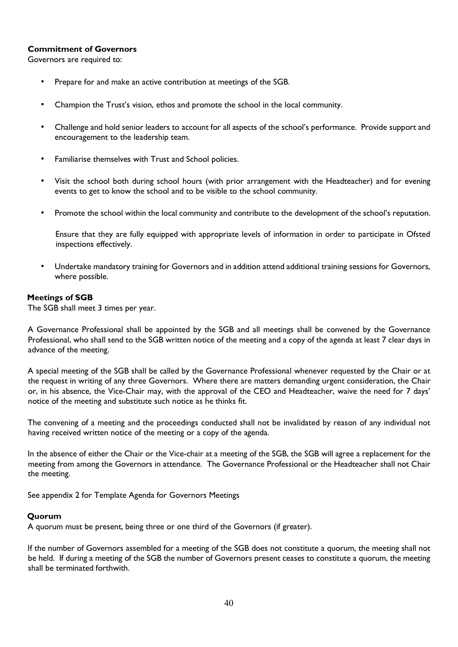# **Commitment of Governors**

Governors are required to:

- Prepare for and make an active contribution at meetings of the SGB.
- Champion the Trust's vision, ethos and promote the school in the local community.
- Challenge and hold senior leaders to account for all aspects of the school's performance. Provide support and encouragement to the leadership team.
- Familiarise themselves with Trust and School policies.
- Visit the school both during school hours (with prior arrangement with the Headteacher) and for evening events to get to know the school and to be visible to the school community.
- Promote the school within the local community and contribute to the development of the school's reputation.

Ensure that they are fully equipped with appropriate levels of information in order to participate in Ofsted inspections effectively.

• Undertake mandatory training for Governors and in addition attend additional training sessions for Governors, where possible.

## **Meetings of SGB**

The SGB shall meet 3 times per year.

A Governance Professional shall be appointed by the SGB and all meetings shall be convened by the Governance Professional, who shall send to the SGB written notice of the meeting and a copy of the agenda at least 7 clear days in advance of the meeting.

A special meeting of the SGB shall be called by the Governance Professional whenever requested by the Chair or at the request in writing of any three Governors. Where there are matters demanding urgent consideration, the Chair or, in his absence, the Vice-Chair may, with the approval of the CEO and Headteacher, waive the need for 7 days' notice of the meeting and substitute such notice as he thinks fit.

The convening of a meeting and the proceedings conducted shall not be invalidated by reason of any individual not having received written notice of the meeting or a copy of the agenda.

In the absence of either the Chair or the Vice-chair at a meeting of the SGB, the SGB will agree a replacement for the meeting from among the Governors in attendance. The Governance Professional or the Headteacher shall not Chair the meeting.

See appendix 2 for Template Agenda for Governors Meetings

# **Quorum**

A quorum must be present, being three or one third of the Governors (if greater).

If the number of Governors assembled for a meeting of the SGB does not constitute a quorum, the meeting shall not be held. If during a meeting of the SGB the number of Governors present ceases to constitute a quorum, the meeting shall be terminated forthwith.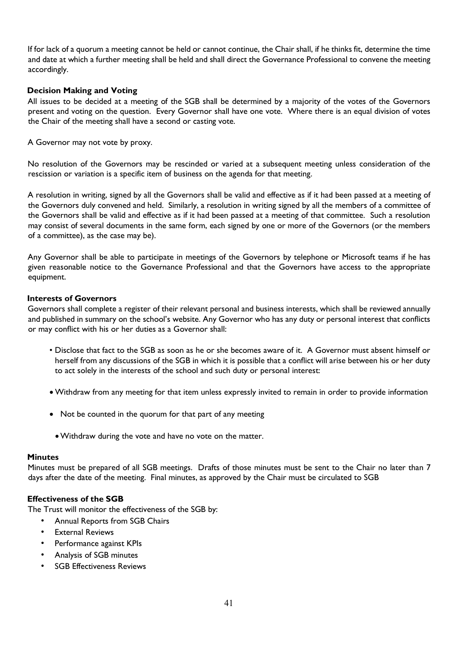If for lack of a quorum a meeting cannot be held or cannot continue, the Chair shall, if he thinks fit, determine the time and date at which a further meeting shall be held and shall direct the Governance Professional to convene the meeting accordingly.

## **Decision Making and Voting**

All issues to be decided at a meeting of the SGB shall be determined by a majority of the votes of the Governors present and voting on the question. Every Governor shall have one vote. Where there is an equal division of votes the Chair of the meeting shall have a second or casting vote.

A Governor may not vote by proxy.

No resolution of the Governors may be rescinded or varied at a subsequent meeting unless consideration of the rescission or variation is a specific item of business on the agenda for that meeting.

A resolution in writing, signed by all the Governors shall be valid and effective as if it had been passed at a meeting of the Governors duly convened and held. Similarly, a resolution in writing signed by all the members of a committee of the Governors shall be valid and effective as if it had been passed at a meeting of that committee. Such a resolution may consist of several documents in the same form, each signed by one or more of the Governors (or the members of a committee), as the case may be).

Any Governor shall be able to participate in meetings of the Governors by telephone or Microsoft teams if he has given reasonable notice to the Governance Professional and that the Governors have access to the appropriate equipment.

#### **Interests of Governors**

Governors shall complete a register of their relevant personal and business interests, which shall be reviewed annually and published in summary on the school's website. Any Governor who has any duty or personal interest that conflicts or may conflict with his or her duties as a Governor shall:

- Disclose that fact to the SGB as soon as he or she becomes aware of it. A Governor must absent himself or herself from any discussions of the SGB in which it is possible that a conflict will arise between his or her duty to act solely in the interests of the school and such duty or personal interest:
- Withdraw from any meeting for that item unless expressly invited to remain in order to provide information
- Not be counted in the quorum for that part of any meeting
- •Withdraw during the vote and have no vote on the matter.

#### **Minutes**

Minutes must be prepared of all SGB meetings. Drafts of those minutes must be sent to the Chair no later than 7 days after the date of the meeting. Final minutes, as approved by the Chair must be circulated to SGB

#### **Effectiveness of the SGB**

The Trust will monitor the effectiveness of the SGB by:

- Annual Reports from SGB Chairs
- **External Reviews**
- Performance against KPIs
- Analysis of SGB minutes
- SGB Effectiveness Reviews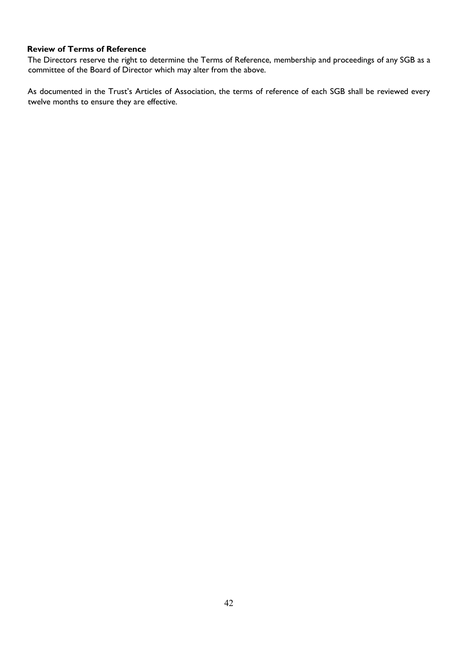# **Review of Terms of Reference**

The Directors reserve the right to determine the Terms of Reference, membership and proceedings of any SGB as a committee of the Board of Director which may alter from the above.

As documented in the Trust's Articles of Association, the terms of reference of each SGB shall be reviewed every twelve months to ensure they are effective.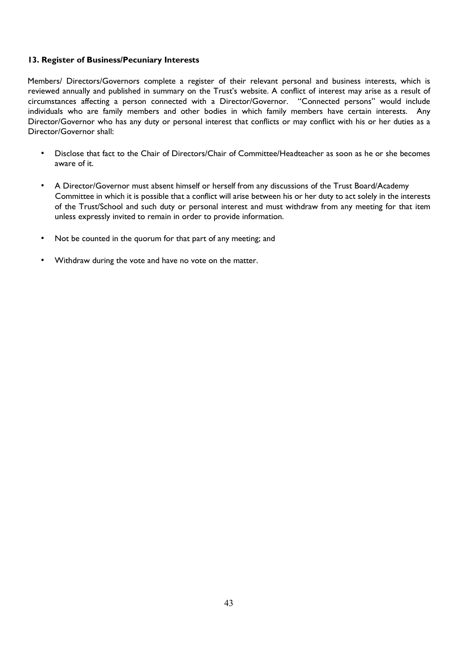## **13. Register of Business/Pecuniary Interests**

Members/ Directors/Governors complete a register of their relevant personal and business interests, which is reviewed annually and published in summary on the Trust's website. A conflict of interest may arise as a result of circumstances affecting a person connected with a Director/Governor. "Connected persons" would include individuals who are family members and other bodies in which family members have certain interests. Any Director/Governor who has any duty or personal interest that conflicts or may conflict with his or her duties as a Director/Governor shall:

- Disclose that fact to the Chair of Directors/Chair of Committee/Headteacher as soon as he or she becomes aware of it.
- A Director/Governor must absent himself or herself from any discussions of the Trust Board/Academy Committee in which it is possible that a conflict will arise between his or her duty to act solely in the interests of the Trust/School and such duty or personal interest and must withdraw from any meeting for that item unless expressly invited to remain in order to provide information.
- Not be counted in the quorum for that part of any meeting; and
- Withdraw during the vote and have no vote on the matter.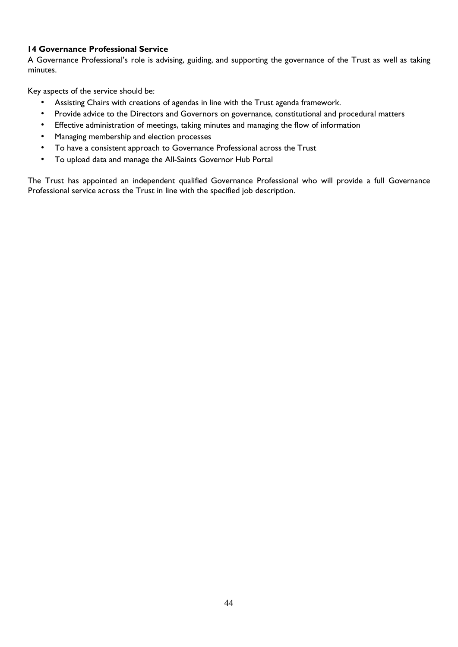# **14 Governance Professional Service**

A Governance Professional's role is advising, guiding, and supporting the governance of the Trust as well as taking minutes.

Key aspects of the service should be:

- Assisting Chairs with creations of agendas in line with the Trust agenda framework.
- Provide advice to the Directors and Governors on governance, constitutional and procedural matters
- Effective administration of meetings, taking minutes and managing the flow of information
- Managing membership and election processes
- To have a consistent approach to Governance Professional across the Trust
- To upload data and manage the All-Saints Governor Hub Portal

The Trust has appointed an independent qualified Governance Professional who will provide a full Governance Professional service across the Trust in line with the specified job description.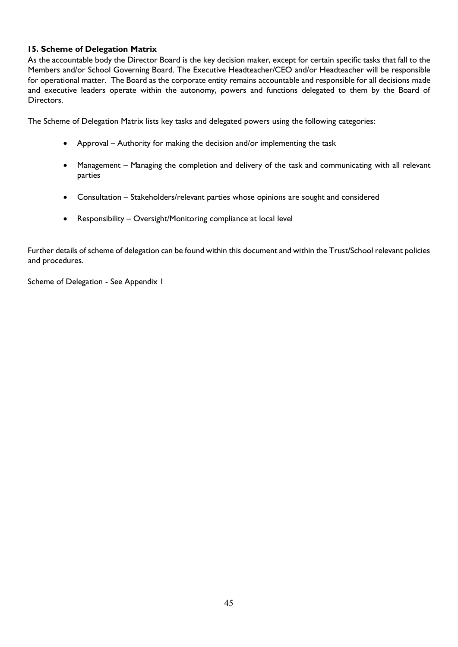# **15. Scheme of Delegation Matrix**

As the accountable body the Director Board is the key decision maker, except for certain specific tasks that fall to the Members and/or School Governing Board. The Executive Headteacher/CEO and/or Headteacher will be responsible for operational matter. The Board as the corporate entity remains accountable and responsible for all decisions made and executive leaders operate within the autonomy, powers and functions delegated to them by the Board of Directors.

The Scheme of Delegation Matrix lists key tasks and delegated powers using the following categories:

- Approval Authority for making the decision and/or implementing the task
- Management Managing the completion and delivery of the task and communicating with all relevant parties
- Consultation Stakeholders/relevant parties whose opinions are sought and considered
- Responsibility Oversight/Monitoring compliance at local level

Further details of scheme of delegation can be found within this document and within the Trust/School relevant policies and procedures.

Scheme of Delegation - See Appendix 1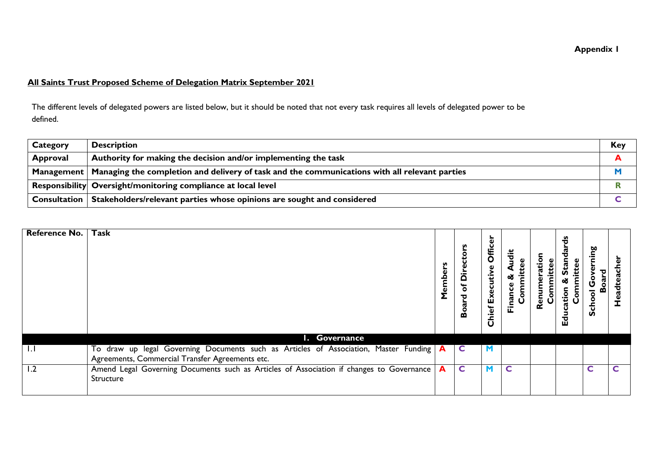# **Appendix 1**

# **All Saints Trust Proposed Scheme of Delegation Matrix September 2021**

The different levels of delegated powers are listed below, but it should be noted that not every task requires all levels of delegated power to be defined.

| Category | <b>Description</b>                                                                                         | Key |
|----------|------------------------------------------------------------------------------------------------------------|-----|
| Approval | Authority for making the decision and/or implementing the task                                             |     |
|          | Management   Managing the completion and delivery of task and the communications with all relevant parties |     |
|          | Responsibility Oversight/monitoring compliance at local level                                              |     |
|          | Consultation   Stakeholders/relevant parties whose opinions are sought and considered                      |     |

| <b>Reference No.</b> | Task                                                                                                                                    | ò<br>emb<br>Σ | v<br>of Directo<br><b>Board</b> | Offic<br>scuttive<br>Exe<br>Chief | udit<br>ಜ<br>Finance<br>Ğ | atior<br>Renur | ಕೆ<br>ъ<br>ω<br>ങ്<br>ation<br>등<br>0<br><b>Educ</b> | ming<br>٥<br>Scho | 玉<br>ِّفِّ |
|----------------------|-----------------------------------------------------------------------------------------------------------------------------------------|---------------|---------------------------------|-----------------------------------|---------------------------|----------------|------------------------------------------------------|-------------------|------------|
|                      | I. Governance                                                                                                                           |               |                                 |                                   |                           |                |                                                      |                   |            |
| <b>I.I</b>           | To draw up legal Governing Documents such as Articles of Association, Master Funding<br>Agreements, Commercial Transfer Agreements etc. | $\mathbf{A}$  | C                               |                                   |                           |                |                                                      |                   |            |
| 1.2                  | Amend Legal Governing Documents such as Articles of Association if changes to Governance<br>Structure                                   | A             | $\mathsf{C}$                    | M                                 | $\mathsf{C}$              |                |                                                      | C                 | C          |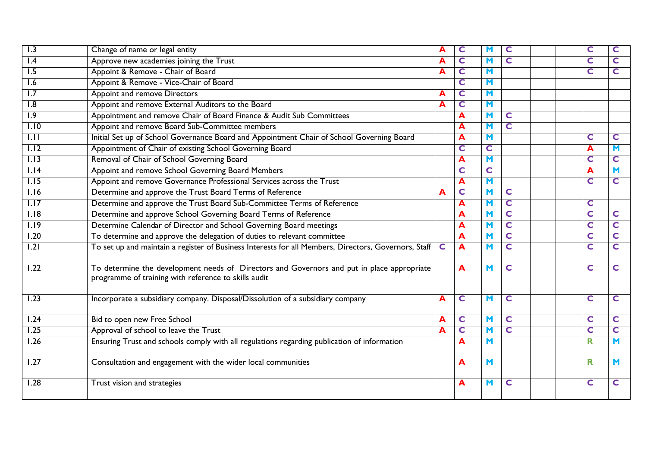| 1.3               | Change of name or legal entity                                                                                                                     | A           | C | M                       | C                       |  | C | C                       |
|-------------------|----------------------------------------------------------------------------------------------------------------------------------------------------|-------------|---|-------------------------|-------------------------|--|---|-------------------------|
| l.4               | Approve new academies joining the Trust                                                                                                            | A           | C | M                       | C                       |  | C | C                       |
| $\overline{1.5}$  | Appoint & Remove - Chair of Board                                                                                                                  | A           | C | $\blacksquare$          |                         |  | C | C                       |
| 1.6               | Appoint & Remove - Vice-Chair of Board                                                                                                             |             | C | M                       |                         |  |   |                         |
| $\overline{1.7}$  | <b>Appoint and remove Directors</b>                                                                                                                | A           | C | M                       |                         |  |   |                         |
| $\overline{1.8}$  | Appoint and remove External Auditors to the Board                                                                                                  | A           | C | $\blacksquare$          |                         |  |   |                         |
| $\overline{1.9}$  | Appointment and remove Chair of Board Finance & Audit Sub Committees                                                                               |             | A | M                       | C                       |  |   |                         |
| 1.10              | Appoint and remove Board Sub-Committee members                                                                                                     |             | A | M                       | $\mathsf{C}$            |  |   |                         |
| $\overline{1.11}$ | Initial Set up of School Governance Board and Appointment Chair of School Governing Board                                                          |             | A | $\blacksquare$          |                         |  | C | C                       |
| 1.12              | Appointment of Chair of existing School Governing Board                                                                                            |             | C | C                       |                         |  | A | M                       |
| 1.13              | Removal of Chair of School Governing Board                                                                                                         |             | A | $\blacksquare$          |                         |  | C | C                       |
| 1.14              | Appoint and remove School Governing Board Members                                                                                                  |             | C | $\overline{\mathsf{C}}$ |                         |  | A | M                       |
| $\overline{1.15}$ | Appoint and remove Governance Professional Services across the Trust                                                                               |             | A | $\blacksquare$          |                         |  | C | C                       |
| 1.16              | Determine and approve the Trust Board Terms of Reference                                                                                           | Α           | C | M                       | C                       |  |   |                         |
| 1.17              | Determine and approve the Trust Board Sub-Committee Terms of Reference                                                                             |             | A | M                       | C                       |  | C |                         |
| 1.18              | Determine and approve School Governing Board Terms of Reference                                                                                    |             | A | M                       | $\overline{\mathsf{C}}$ |  | C | C                       |
| 1.19              | Determine Calendar of Director and School Governing Board meetings                                                                                 |             | A | M                       | $\overline{\mathbf{C}}$ |  | C | $\overline{\mathbf{C}}$ |
| 1.20              | To determine and approve the delegation of duties to relevant committee                                                                            |             | A | M                       | C                       |  | C | C                       |
| $\overline{1.21}$ | To set up and maintain a register of Business Interests for all Members, Directors, Governors, Staff                                               | $\mathbf C$ | A | M                       | C                       |  | C | C                       |
| 1.22              | To determine the development needs of Directors and Governors and put in place appropriate<br>programme of training with reference to skills audit |             | A | $\blacksquare$          | $\mathsf{C}$            |  | C | C                       |
| $\overline{1.23}$ | Incorporate a subsidiary company. Disposal/Dissolution of a subsidiary company                                                                     | A           | C | M                       | $\mathsf{C}$            |  | C | C                       |
| 1.24              | Bid to open new Free School                                                                                                                        | A           | C | M                       | C                       |  | C | C                       |
| $\overline{1.25}$ | Approval of school to leave the Trust                                                                                                              | A           | C | M                       | $\mathsf{C}$            |  | C | C                       |
| 1.26              | Ensuring Trust and schools comply with all regulations regarding publication of information                                                        |             | A | $\blacksquare$          |                         |  | R | M                       |
| 1.27              | Consultation and engagement with the wider local communities                                                                                       |             | A | $\blacksquare$          |                         |  | R | M                       |
| 1.28              | Trust vision and strategies                                                                                                                        |             | A | M                       | C                       |  | C | C                       |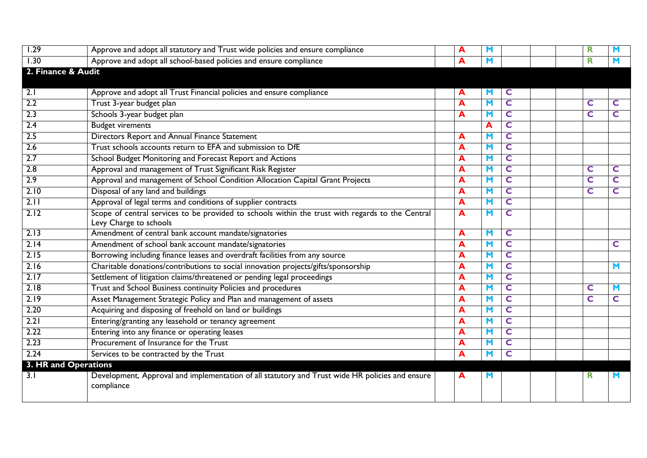| 1.29                 | Approve and adopt all statutory and Trust wide policies and ensure compliance                                 | A | M                       |              |  | R |                |
|----------------------|---------------------------------------------------------------------------------------------------------------|---|-------------------------|--------------|--|---|----------------|
| 1.30                 | Approve and adopt all school-based policies and ensure compliance                                             | A | $\blacksquare$          |              |  | R | $\blacksquare$ |
| 2. Finance & Audit   |                                                                                                               |   |                         |              |  |   |                |
|                      |                                                                                                               |   |                         |              |  |   |                |
| 2.1                  | Approve and adopt all Trust Financial policies and ensure compliance                                          | A | М                       | C            |  |   |                |
| 2.2                  | Trust 3-year budget plan                                                                                      | A | $\blacksquare$          | C            |  | C | C              |
| $\overline{2.3}$     | Schools 3-year budget plan                                                                                    | A | M                       | $\mathsf{C}$ |  | C | C              |
| 2.4                  | <b>Budget virements</b>                                                                                       |   | A                       | C            |  |   |                |
| $\overline{2.5}$     | Directors Report and Annual Finance Statement                                                                 | A | M                       | C            |  |   |                |
| 2.6                  | Trust schools accounts return to EFA and submission to DfE                                                    | A | M                       | $\mathsf{C}$ |  |   |                |
| 2.7                  | School Budget Monitoring and Forecast Report and Actions                                                      | A | M                       | C            |  |   |                |
| $\overline{2.8}$     | Approval and management of Trust Significant Risk Register                                                    | A | M                       | $\mathsf{C}$ |  | C | C              |
| 2.9                  | Approval and management of School Condition Allocation Capital Grant Projects                                 | A | $\blacksquare$          | C            |  | C | $\mathsf{C}$   |
| 2.10                 | Disposal of any land and buildings                                                                            | A | $\blacksquare$          | C            |  | C | C              |
| 2.11                 | Approval of legal terms and conditions of supplier contracts                                                  | A | M                       | $\mathsf{C}$ |  |   |                |
| 2.12                 | Scope of central services to be provided to schools within the trust with regards to the Central              | A | $\blacksquare$          | C            |  |   |                |
|                      | Levy Charge to schools                                                                                        |   |                         |              |  |   |                |
| 2.13                 | Amendment of central bank account mandate/signatories                                                         | A | M                       | C            |  |   |                |
| 2.14                 | Amendment of school bank account mandate/signatories                                                          | A | M                       | C            |  |   | C              |
| 2.15                 | Borrowing including finance leases and overdraft facilities from any source                                   | A | M                       | $\mathsf{C}$ |  |   |                |
| 2.16                 | Charitable donations/contributions to social innovation projects/gifts/sponsorship                            | A | $\overline{\mathsf{M}}$ | C            |  |   | M              |
| 2.17                 | Settlement of litigation claims/threatened or pending legal proceedings                                       | A | M                       | $\mathsf{C}$ |  |   |                |
| 2.18                 | Trust and School Business continuity Policies and procedures                                                  | A | $\blacksquare$          | C            |  | C | M              |
| 2.19                 | Asset Management Strategic Policy and Plan and management of assets                                           | A | $\mathbf M$             | C            |  | C | C              |
| 2.20                 | Acquiring and disposing of freehold on land or buildings                                                      | A | M                       | $\mathsf{C}$ |  |   |                |
| 2.21                 | Entering/granting any leasehold or tenancy agreement                                                          | A | M                       | C            |  |   |                |
| 2.22                 | Entering into any finance or operating leases                                                                 | A | $\mathbf M$             | C            |  |   |                |
| 2.23                 | Procurement of Insurance for the Trust                                                                        | A | M                       | C            |  |   |                |
| 2.24                 | Services to be contracted by the Trust                                                                        | A | $\blacksquare$          | C            |  |   |                |
| 3. HR and Operations |                                                                                                               |   |                         |              |  |   |                |
| $\overline{3.1}$     | Development, Approval and implementation of all statutory and Trust wide HR policies and ensure<br>compliance | A | M                       |              |  | R | M              |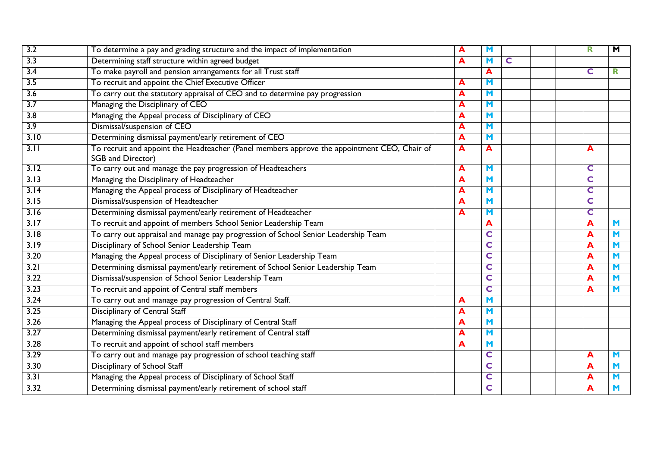| 3.2              | To determine a pay and grading structure and the impact of implementation                                        | A | M              |   |  | $\mathbf R$             | $\overline{\mathbf{M}}$ |
|------------------|------------------------------------------------------------------------------------------------------------------|---|----------------|---|--|-------------------------|-------------------------|
| $\overline{3.3}$ | Determining staff structure within agreed budget                                                                 | A | M              | C |  |                         |                         |
| 3.4              | To make payroll and pension arrangements for all Trust staff                                                     |   | A              |   |  | C                       | R                       |
| 3.5              | To recruit and appoint the Chief Executive Officer                                                               | A | $\blacksquare$ |   |  |                         |                         |
| $\overline{3.6}$ | To carry out the statutory appraisal of CEO and to determine pay progression                                     | A | $\blacksquare$ |   |  |                         |                         |
| $\overline{3.7}$ | Managing the Disciplinary of CEO                                                                                 | A | M              |   |  |                         |                         |
| $\overline{3.8}$ | Managing the Appeal process of Disciplinary of CEO                                                               | A | M              |   |  |                         |                         |
| 3.9              | Dismissal/suspension of CEO                                                                                      | A | $\blacksquare$ |   |  |                         |                         |
| 3.10             | Determining dismissal payment/early retirement of CEO                                                            | A | M              |   |  |                         |                         |
| 3.11             | To recruit and appoint the Headteacher (Panel members approve the appointment CEO, Chair of<br>SGB and Director) | A | A              |   |  | A                       |                         |
| 3.12             | To carry out and manage the pay progression of Headteachers                                                      | A | $\blacksquare$ |   |  | $\mathsf{C}$            |                         |
| 3.13             | Managing the Disciplinary of Headteacher                                                                         | A | $\blacksquare$ |   |  | C                       |                         |
| 3.14             | Managing the Appeal process of Disciplinary of Headteacher                                                       | A | $\blacksquare$ |   |  | C                       |                         |
| 3.15             | Dismissal/suspension of Headteacher                                                                              | A | $\blacksquare$ |   |  | $\mathbf C$             |                         |
| 3.16             | Determining dismissal payment/early retirement of Headteacher                                                    | A | $\blacksquare$ |   |  | $\overline{\mathbf{C}}$ |                         |
| 3.17             | To recruit and appoint of members School Senior Leadership Team                                                  |   | A              |   |  | A                       | M                       |
| 3.18             | To carry out appraisal and manage pay progression of School Senior Leadership Team                               |   | C              |   |  | A                       | $\blacksquare$          |
| 3.19             | Disciplinary of School Senior Leadership Team                                                                    |   | C              |   |  | A                       | M                       |
| 3.20             | Managing the Appeal process of Disciplinary of Senior Leadership Team                                            |   | C              |   |  | A                       | M                       |
| 3.21             | Determining dismissal payment/early retirement of School Senior Leadership Team                                  |   | C              |   |  | A                       | M                       |
| 3.22             | Dismissal/suspension of School Senior Leadership Team                                                            |   | C              |   |  | A                       | M                       |
| 3.23             | To recruit and appoint of Central staff members                                                                  |   | C              |   |  | A                       | M                       |
| 3.24             | To carry out and manage pay progression of Central Staff.                                                        | A | $\blacksquare$ |   |  |                         |                         |
| 3.25             | Disciplinary of Central Staff                                                                                    | A | M              |   |  |                         |                         |
| 3.26             | Managing the Appeal process of Disciplinary of Central Staff                                                     | A | $\blacksquare$ |   |  |                         |                         |
| 3.27             | Determining dismissal payment/early retirement of Central staff                                                  | A | $\blacksquare$ |   |  |                         |                         |
| 3.28             | To recruit and appoint of school staff members                                                                   | A | $\blacksquare$ |   |  |                         |                         |
| 3.29             | To carry out and manage pay progression of school teaching staff                                                 |   | C              |   |  | A                       | M                       |
| 3.30             | Disciplinary of School Staff                                                                                     |   | C              |   |  | A                       | $\blacksquare$          |
| 3.31             | Managing the Appeal process of Disciplinary of School Staff                                                      |   | C              |   |  | A                       | M                       |
| 3.32             | Determining dismissal payment/early retirement of school staff                                                   |   | C              |   |  | A                       | M                       |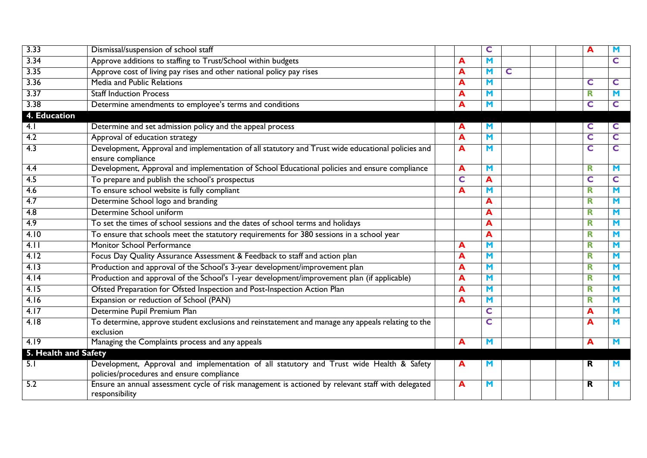| 3.33                 | Dismissal/suspension of school staff                                                                                                  |   | C              |   |  | А | м              |
|----------------------|---------------------------------------------------------------------------------------------------------------------------------------|---|----------------|---|--|---|----------------|
| 3.34                 | Approve additions to staffing to Trust/School within budgets                                                                          | А | M              |   |  |   | C              |
| 3.35                 | Approve cost of living pay rises and other national policy pay rises                                                                  | А | $\blacksquare$ | C |  |   |                |
| 3.36                 | Media and Public Relations                                                                                                            | А | M              |   |  | C | C              |
| 3.37                 | <b>Staff Induction Process</b>                                                                                                        | А | M              |   |  | R | M              |
| 3.38                 | Determine amendments to employee's terms and conditions                                                                               | А | M              |   |  | C | C              |
| 4. Education         |                                                                                                                                       |   |                |   |  |   |                |
| 4.1                  | Determine and set admission policy and the appeal process                                                                             | A | M              |   |  | C | C              |
| 4.2                  | Approval of education strategy                                                                                                        | A | M              |   |  | C | C              |
| 4.3                  | Development, Approval and implementation of all statutory and Trust wide educational policies and<br>ensure compliance                | A | M              |   |  | C | C              |
| 4.4                  | Development, Approval and implementation of School Educational policies and ensure compliance                                         | A | M              |   |  | R | M              |
| 4.5                  | To prepare and publish the school's prospectus                                                                                        | C | A              |   |  | C | C              |
| 4.6                  | To ensure school website is fully compliant                                                                                           | A | M              |   |  | R | M              |
| 4.7                  | Determine School logo and branding                                                                                                    |   | A              |   |  | R | M              |
| $\overline{4.8}$     | Determine School uniform                                                                                                              |   | A              |   |  | R | M              |
| 4.9                  | To set the times of school sessions and the dates of school terms and holidays                                                        |   | A              |   |  | R | $\blacksquare$ |
| 4.10                 | To ensure that schools meet the statutory requirements for 380 sessions in a school year                                              |   | A              |   |  | R | M              |
| 4.11                 | Monitor School Performance                                                                                                            | А | M              |   |  | R | M              |
| 4.12                 | Focus Day Quality Assurance Assessment & Feedback to staff and action plan                                                            | А | M              |   |  | R | M              |
| 4.13                 | Production and approval of the School's 3-year development/improvement plan                                                           | А | M              |   |  | R | M              |
| 4.14                 | Production and approval of the School's 1-year development/improvement plan (if applicable)                                           | A | M              |   |  | R | M              |
| 4.15                 | Ofsted Preparation for Ofsted Inspection and Post-Inspection Action Plan                                                              | А | M              |   |  | R | M              |
| 4.16                 | Expansion or reduction of School (PAN)                                                                                                | А | M              |   |  | R | M              |
| 4.17                 | Determine Pupil Premium Plan                                                                                                          |   | $\mathsf{C}$   |   |  | A | M              |
| 4.18                 | To determine, approve student exclusions and reinstatement and manage any appeals relating to the                                     |   | C              |   |  | A | M              |
|                      | exclusion                                                                                                                             |   |                |   |  |   |                |
| 4.19                 | Managing the Complaints process and any appeals                                                                                       | A | $\blacksquare$ |   |  | A | M              |
| 5. Health and Safety |                                                                                                                                       |   |                |   |  |   |                |
| 5.1                  | Development, Approval and implementation of all statutory and Trust wide Health & Safety<br>policies/procedures and ensure compliance | A | M              |   |  | R | M              |
| 5.2                  | Ensure an annual assessment cycle of risk management is actioned by relevant staff with delegated<br>responsibility                   | A | M              |   |  | R | м              |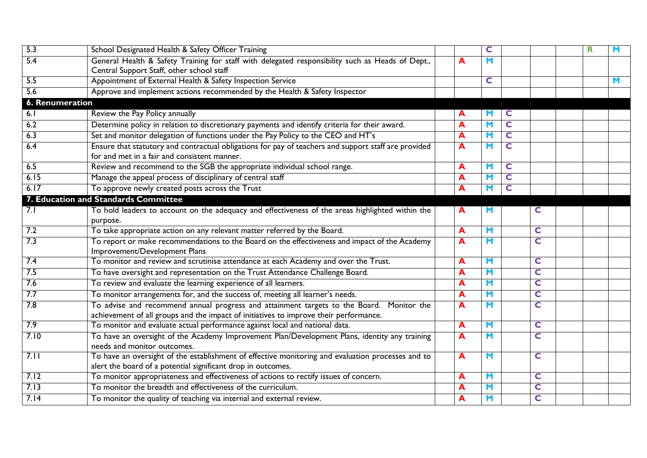| 5.3             | School Designated Health & Safety Officer Training                                                                                                                                |   | C              |                         |   | R | M |
|-----------------|-----------------------------------------------------------------------------------------------------------------------------------------------------------------------------------|---|----------------|-------------------------|---|---|---|
| 5.4             | General Health & Safety Training for staff with delegated responsibility such as Heads of Dept.,<br>Central Support Staff, other school staff                                     | A | M              |                         |   |   |   |
| 5.5             | Appointment of External Health & Safety Inspection Service                                                                                                                        |   | C              |                         |   |   | M |
| 5.6             | Approve and implement actions recommended by the Health & Safety Inspector                                                                                                        |   |                |                         |   |   |   |
| 6. Renumeration |                                                                                                                                                                                   |   |                |                         |   |   |   |
| 6.1             | Review the Pay Policy annually                                                                                                                                                    | A | M              | C                       |   |   |   |
| 6.2             | Determine policy in relation to discretionary payments and identify criteria for their award.                                                                                     | A | M              | $\overline{\mathbf{C}}$ |   |   |   |
| 6.3             | Set and monitor delegation of functions under the Pay Policy to the CEO and HT's                                                                                                  | A | M              | $\overline{\mathbf{C}}$ |   |   |   |
| 6.4             | Ensure that statutory and contractual obligations for pay of teachers and support staff are provided                                                                              | A | M              | C                       |   |   |   |
|                 | for and met in a fair and consistent manner.                                                                                                                                      |   |                |                         |   |   |   |
| 6.5             | Review and recommend to the SGB the appropriate individual school range.                                                                                                          | A | $\mathbf M$    | C                       |   |   |   |
| 6.15            | Manage the appeal process of disciplinary of central staff                                                                                                                        | A | M              | $\overline{\mathbf{C}}$ |   |   |   |
| 6.17            | To approve newly created posts across the Trust                                                                                                                                   | A | M              | C                       |   |   |   |
|                 | 7. Education and Standards Committee                                                                                                                                              |   |                |                         |   |   |   |
| 7.1             | To hold leaders to account on the adequacy and effectiveness of the areas highlighted within the<br>purpose.                                                                      | A | M              |                         | C |   |   |
| 7.2             | To take appropriate action on any relevant matter referred by the Board.                                                                                                          | A | $\blacksquare$ |                         | C |   |   |
| 7.3             | To report or make recommendations to the Board on the effectiveness and impact of the Academy<br>Improvement/Development Plans                                                    | A | $\blacksquare$ |                         | C |   |   |
| 7.4             | To monitor and review and scrutinise attendance at each Academy and over the Trust.                                                                                               | A | $\blacksquare$ |                         | C |   |   |
| 7.5             | To have oversight and representation on the Trust Attendance Challenge Board.                                                                                                     | A | M              |                         | C |   |   |
| 7.6             | To review and evaluate the learning experience of all learners.                                                                                                                   | A | $\blacksquare$ |                         | C |   |   |
| 7.7             | To monitor arrangements for, and the success of, meeting all learner's needs.                                                                                                     | A | $\blacksquare$ |                         | C |   |   |
| 7.8             | To advise and recommend annual progress and attainment targets to the Board. Monitor the<br>achievement of all groups and the impact of initiatives to improve their performance. | A | M              |                         | C |   |   |
| 7.9             | To monitor and evaluate actual performance against local and national data.                                                                                                       | A | $\blacksquare$ |                         | C |   |   |
| 7.10            | To have an oversight of the Academy Improvement Plan/Development Plans, identity any training<br>needs and monitor outcomes.                                                      | A | M              |                         | C |   |   |
| 7.11            | To have an oversight of the establishment of effective monitoring and evaluation processes and to<br>alert the board of a potential significant drop in outcomes.                 | A | M              |                         | C |   |   |
| 7.12            | To monitor appropriateness and effectiveness of actions to rectify issues of concern.                                                                                             | A | M              |                         | C |   |   |
| 7.13            | To monitor the breadth and effectiveness of the curriculum.                                                                                                                       | A | $\blacksquare$ |                         | C |   |   |
| 7.14            | To monitor the quality of teaching via internal and external review.                                                                                                              | A | M              |                         | C |   |   |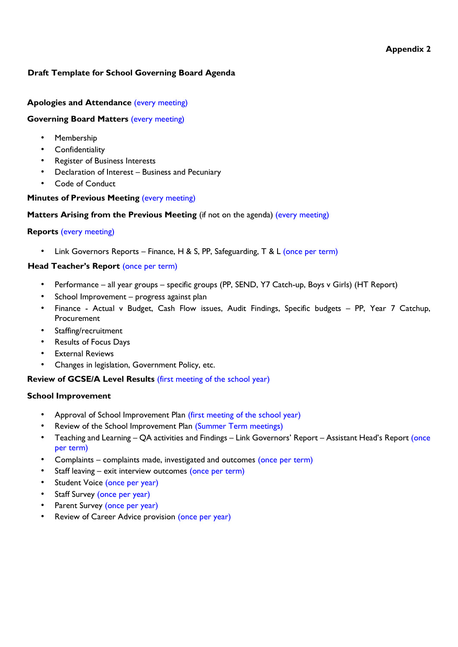## **Appendix 2**

# **Draft Template for School Governing Board Agenda**

# **Apologies and Attendance** (every meeting)

#### **Governing Board Matters** (every meeting)

- Membership
- Confidentiality
- Register of Business Interests
- Declaration of Interest Business and Pecuniary
- Code of Conduct

# **Minutes of Previous Meeting (every meeting)**

## **Matters Arising from the Previous Meeting** (if not on the agenda) (every meeting)

## **Reports** (every meeting)

• Link Governors Reports – Finance, H & S, PP, Safeguarding, T & L (once per term)

# **Head Teacher's Report (once per term)**

- Performance all year groups specific groups (PP, SEND, Y7 Catch-up, Boys v Girls) (HT Report)
- School Improvement progress against plan
- Finance Actual v Budget, Cash Flow issues, Audit Findings, Specific budgets PP, Year 7 Catchup, Procurement
- Staffing/recruitment
- Results of Focus Days
- **External Reviews**
- Changes in legislation, Government Policy, etc.

#### **Review of GCSE/A Level Results** (first meeting of the school year)

#### **School Improvement**

- Approval of School Improvement Plan (first meeting of the school year)
- Review of the School Improvement Plan (Summer Term meetings)
- Teaching and Learning QA activities and Findings Link Governors' Report Assistant Head's Report (once per term)
- Complaints complaints made, investigated and outcomes (once per term)
- Staff leaving exit interview outcomes (once per term)
- Student Voice (once per year)
- Staff Survey (once per year)
- Parent Survey (once per year)
- Review of Career Advice provision (once per year)